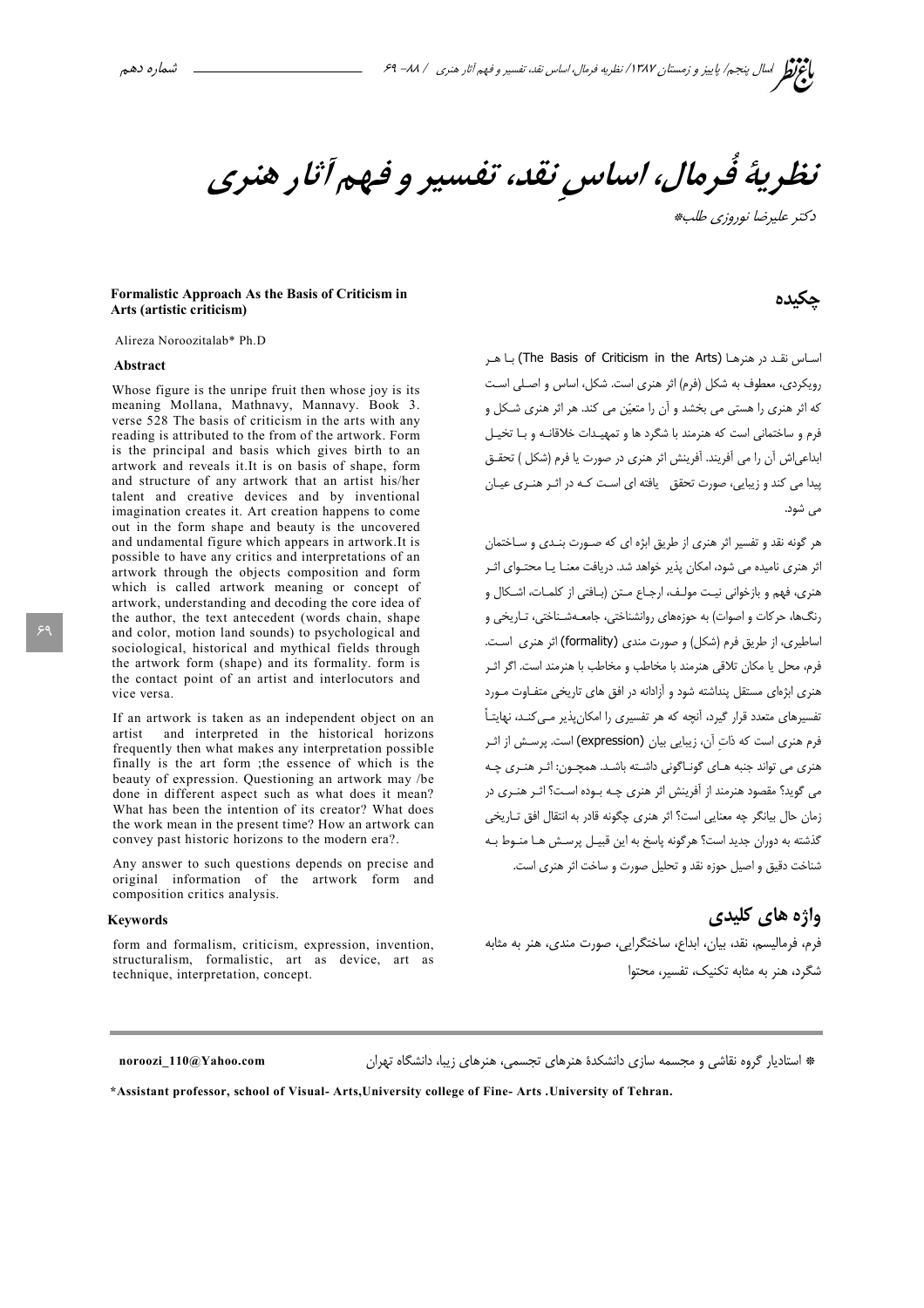نظريهٔ فُرمال، اساس نقد، تفسیر و فهم آثار هنری دكتر عليدضا نوروزي طلب#

### Formalistic Approach As the Basis of Criticism in Arts (artistic criticism)

Alireza Noroozitalab\* Ph.D

#### Abstract

Whose figure is the unripe fruit then whose joy is its meaning Mollana, Mathnavy, Mannavy. Book 3. verse 528 The basis of criticism in the arts with any reading is attributed to the from of the artwork. Form is the principal and basis which gives birth to an artwork and reveals it. It is on basis of shape, form and structure of any artwork that an artist his/her talent and creative devices and by inventional imagination creates it. Art creation happens to come out in the form shape and beauty is the uncovered and undamental figure which appears in artwork. It is possible to have any critics and interpretations of an artwork through the objects composition and form which is called artwork meaning or concept of artwork, understanding and decoding the core idea of the author, the text antecedent (words chain, shape and color, motion land sounds) to psychological and sociological, historical and mythical fields through the artwork form (shape) and its formality, form is the contact point of an artist and interlocutors and vice versa

If an artwork is taken as an independent object on an artist and interpreted in the historical horizons frequently then what makes any interpretation possible finally is the art form the essence of which is the beauty of expression. Questioning an artwork may /be done in different aspect such as what does it mean? What has been the intention of its creator? What does the work mean in the present time? How an artwork can convey past historic horizons to the modern era?.

Any answer to such questions depends on precise and original information of the artwork form and composition critics analysis.

#### **Keywords**

form and formalism, criticism, expression, invention, structuralism, formalistic, art as device, art as technique, interpretation, concept.

## حكىدە

اساس نقد در هنرها (The Basis of Criticism in the Arts) با هر رویکردی، معطوف به شکل (فرم) اثر هنری است. شکل، اساس و اصلی است که اثر هنری را هستی می بخشد و آن را متعیّن می کند. هر اثر هنری شـکل و .<br>فرم و ساختمانی است که هنرمند با شگرد ها و تمهیدات خلاقانیه و با تخیـل ابداعی اش آن را می آفریند. آفرینش اثر هنری در صورت یا فرم (شکل ) تحقـق پیدا می کند و زیبایی، صورت تحقق یافته ای است کـه در اثـر هنـری عیـان یے شود.

هر گونه نقد و تفسیر اثر هنری از طریق ابژه ای که صـورت بنـدی و سـاختمان اثر هنری نامیده می شود، امکان پذیر خواهد شد. دریافت معنـا یـا محتـوای اثـر هنري، فهم و بازخواني نيـت مولـف، ارجـاع مـتن (بـافتي از كلمـات، اشـكال و رنگها، حرکات و اصوات) به حوزههای روانشناختی، جامعـهشـناختی، تـاریخی و اساطیری، از طریق فرم (شکل) و صورت مندی (formality) اثر هنری است. فرم، محل یا مکان تلاقی هنرمند با مخاطب و مخاطب با هنرمند است. اگر اثـر هنری ابژهای مستقل پنداشته شود و آزادانه در افق های تاریخی متفـاوت مـورد تفسیرهای متعدد قرار گیرد، آنچه که هر تفسیری را امکان پذیر مــی کنــد، نهایتــاً فرم هنري است كه ذات آن، زيبايي بيان (expression) است. يرسـش از اثـر هنري مي تواند جنبه هـاي گونـاگوني داشـته باشـد. همچـون: اثـر هنـري چـه می گوید؟ مقصود هنرمند از آفرینش اثر هنری چـه بـوده اسـت؟ اثـر هنـری در زمان حال بيانگر چه معنايي است؟ اثر هنري چگونه قادر به انتقال افق تـاريخي گذشته به دوران جدید است؟ هرگونه پاسخ به این قبیـل پرســش هـا منـوط بــه شناخت دقیق و اصیل جوزه نقد و تحلیل صورت و ساخت اثر هنری است.

## واژه های کلیدی

فرم، فرمالیسم، نقد، بیان، ابداع، ساختگرایی، صورت مندی، هنر به مثابه شگرد، هنر به مثابه تکنیک، تفسیر، محتوا

noroozi 110@Yahoo.com

\* استادیار گروه نقاشی و مجسمه سازی دانشکدهٔ هنرهای تجسمی، هنرهای زیبا، دانشگاه تهران

\*Assistant professor, school of Visual-Arts, University college of Fine-Arts . University of Tehran.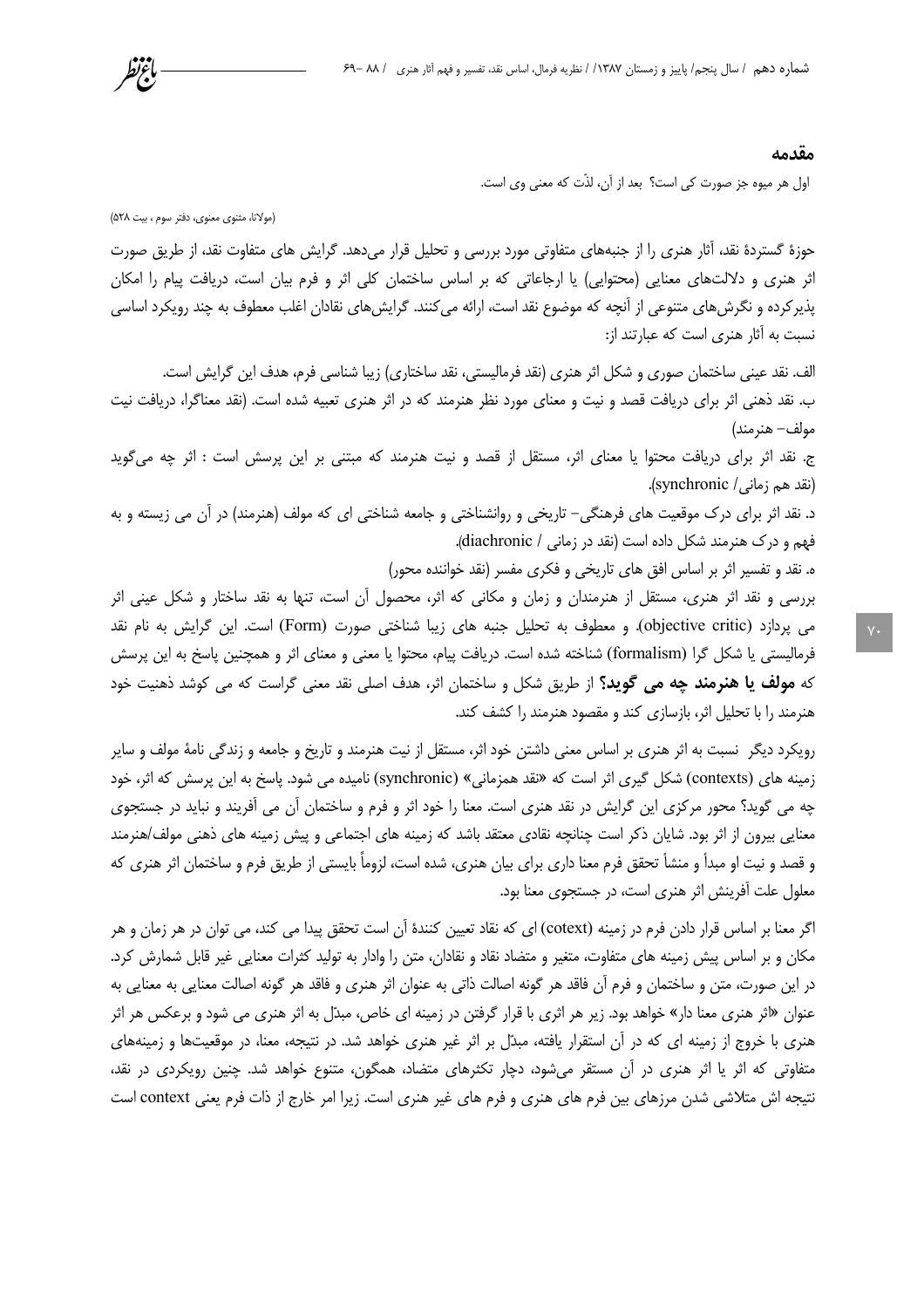#### مقدمه

اول هر میوه جز صورت کی است؟ بعد از آن، لذّت که معنی وی است.

(مولانا، مثنوي معنوي، دفتر سوم ، بيت ۵۲۸)

باعربط

حوزهٔ گستردهٔ نقد، آثار هنری را از جنبههای متفاوتی مورد بررسی و تحلیل قرار میدهد. گرایش های متفاوت نقد، از طریق صورت اثر هنری و دلالتهای معنایی (محتوایی) یا ارجاعاتی که بر اساس ساختمان کلی اثر و فرم بیان است، دریافت پیام را امکان پذیر کرده و نگرش های متنوعی از آنچه که موضوع نقد است، ارائه می کنند. گرایش های نقادان اغلب معطوف به چند رویکرد اساسی نسبت به آثار هنری است که عبارتند از:

الف. نقد عینی ساختمان صوری و شکل اثر هنری (نقد فرمالیستی، نقد ساختاری) زیبا شناسی فرم، هدف این گرایش است. ب. نقد ذهنی اثر برای دریافت قصد و نیت و معنای مورد نظر هنرمند که در اثر هنری تعبیه شده است. (نقد معناگرا، دریافت نیت مولف– هنرمند)

ج. نقد اثر برای دریافت محتوا یا معنای اثر، مستقل از قصد و نیت هنرمند که مبتنی بر این پرسش است : اثر چه میگوید (نقد هم زمانی/ synchronic).

د. نقد اثر برای درک موقعیت های فرهنگی– تاریخی و روانشناختی و جامعه شناختی ای که مولف (هنرمند) در آن می زیسته و به فهم و درک هنرمند شکل داده است (نقد در زمانی / diachronic).

ه. نقد و تفسیر اثر بر اساس افق های تاریخی و فکری مفسر (نقد خواننده محور)

بررسی و نقد اثر هنری، مستقل از هنرمندان و زمان و مکانی که اثر، محصول آن است، تنها به نقد ساختار و شکل عینی اثر می پردازد (objective critic). و معطوف به تحلیل جنبه های زیبا شناختی صورت (Form) است. این گرایش به نام نقد فرمالیستی یا شکل گرا (formalism) شناخته شده است. دریافت پیام، محتوا یا معنی و معنای اثر و همچنین پاسخ به این پرسش که **مولف یا هنرمند چه می گوید؟** از طریق شکل و ساختمان اثر، هدف اصلی نقد معنی گراست که می کوشد ذهنیت خود هنرمند را با تحلیل اثر، بازسازی کند و مقصود هنرمند را کشف کند.

رویکرد دیگر نسبت به اثر هنری بر اساس معنی داشتن خود اثر، مستقل از نیت هنرمند و تاریخ و جامعه و زندگی نامهٔ مولف و سایر زمینه های (contexts) شکل گیری اثر است که «نقد همزمانی» (synchronic) نامیده می شود. پاسخ به این پرسش که اثر، خود چه می گوید؟ محور مرکزی این گرایش در نقد هنری است. معنا را خود اثر و فرم و ساختمان آن می آفریند و نباید در جستجوی معنایی بیرون از اثر بود. شایان ذکر است چنانچه نقادی معتقد باشد که زمینه های اجتماعی و پیش زمینه های ذهنی مولف/هنرمند و قصد و نيت او مبدأ و منشأ تحقق فرم معنا داري براي بيان هنري، شده است، لزوماً بايستي از طريق فرم و ساختمان اثر هنري كه معلول علت آفرینش اثر هنری است، در جستجوی معنا بود.

اگر معنا بر اساس قرار دادن فرم در زمینه (cotext) ای که نقاد تعیین کنندهٔ آن است تحقق پیدا می کند، می توان در هر زمان و هر مکان و بر اساس پیش زمینه های متفاوت، متغیر و متضاد نقاد و نقادان، متن را وادار به تولید کثرات معنایی غیر قابل شمارش کرد. در این صورت، متن و ساختمان و فرم آن فاقد هر گونه اصالت ذاتی به عنوان اثر هنری و فاقد هر گونه اصالت معنایی به معنایی به عنوان «اثر هنري معنا دار» خواهد بود. زير هر اثري با قرار گرفتن در زمينه اي خاص، مبدّل به اثر هنري مي شود و برعكس هر اثر هنری با خروج از زمینه ای که در آن استقرار یافته، مبدّل بر اثر غیر هنری خواهد شد. در نتیجه، معنا، در موقعیتها و زمینههای متفاوتی که اثر یا اثر هنری در آن مستقر میشود، دچار تکثرهای متضاد، همگون، متنوع خواهد شد. چنین رویکردی در نقد، نتیجه اش متلاشی شدن مرزهای بین فرم های هنری و فرم های غیر هنری است. زیرا امر خارج از ذات فرم یعنی context است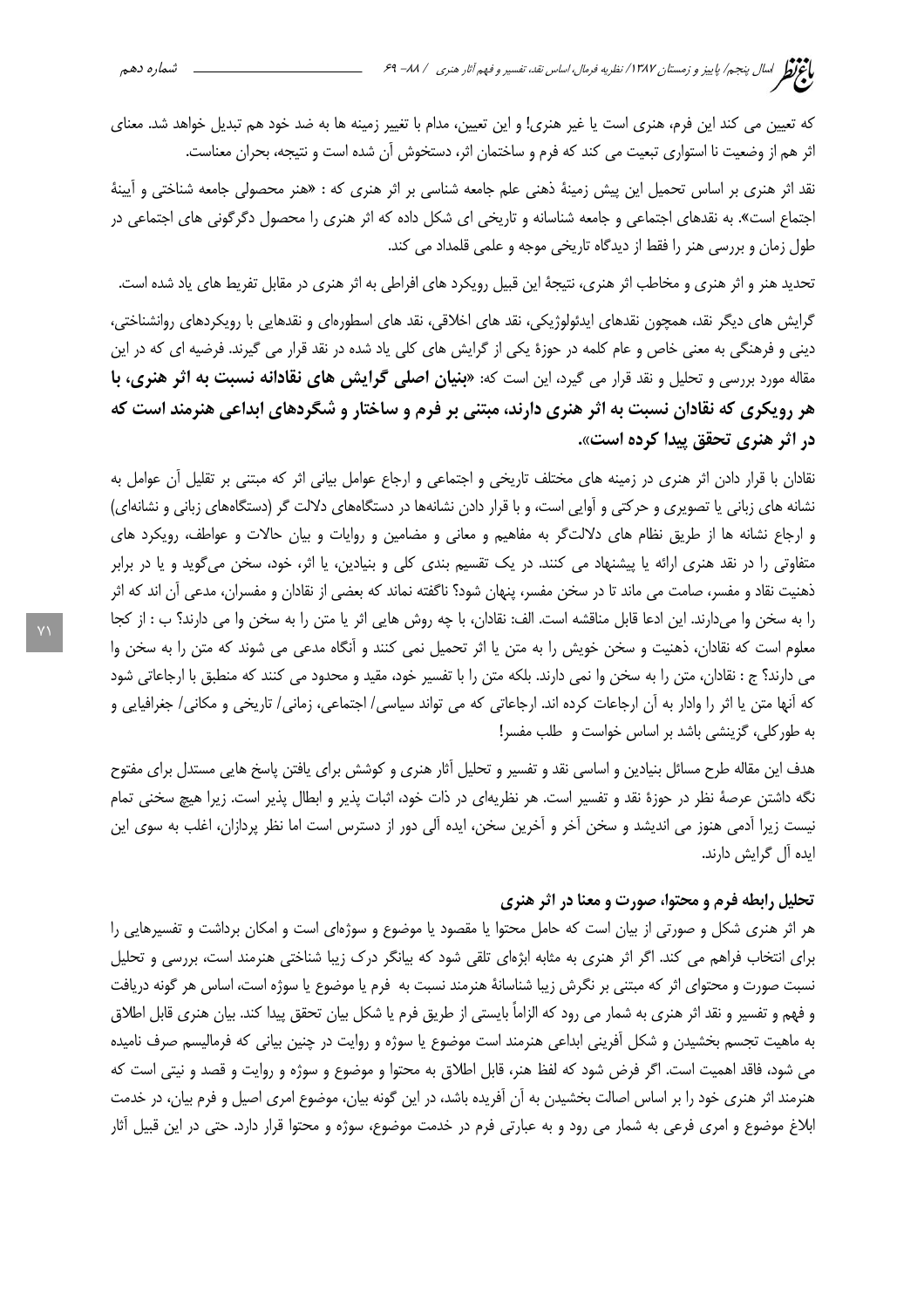كه تعيين مي كند اين فرم، هنري است يا غير هنري! و اين تعيين، مدام با تغيير زمينه ها به ضد خود هم تبديل خواهد شد. معناي اثر هم از وضعیت نا استواری تبعیت می کند که فرم و ساختمان اثر، دستخوش آن شده است و نتیجه، بحران معناست.

نقد اثر هنری بر اساس تحمیل این پیش زمینهٔ ذهنی علم جامعه شناسی بر اثر هنری که : «هنر محصولی جامعه شناختی و أيينهٔ اجتماع است». به نقدهای اجتماعی و جامعه شناسانه و تاریخی ای شکل داده که اثر هنری را محصول دگرگونی های اجتماعی در طول زمان و بررسی هنر را فقط از دیدگاه تاریخی موجه و علمی قلمداد می کند.

تحدید هنر و اثر هنری و مخاطب اثر هنری، نتیجهٔ این قبیل رویکرد های افراطی به اثر هنری در مقابل تفریط های یاد شده است.

گرایش های دیگر نقد، همچون نقدهای ایدئولوژیکی، نقد های اخلاقی، نقد های اسطورهای و نقدهایی با رویکردهای روانشناختی، دینی و فرهنگی به معنی خاص و عام کلمه در حوزهٔ یکی از گرایش های کلی یاد شده در نقد قرار می گیرند. فرضیه ای که در این مقاله مورد بررسی و تحلیل و نقد قرار می گیرد، این است که: «**بنیان اصلی گرایش های نقادانه نسبت به اثر هنری، با** هر رویکری که نقادان نسبت به اثر هنری دارند، مبتنی بر فرم و ساختار و شگردهای ابداعی هنرمند است که در اثر هنري تحقق پيدا كرده است».

نقادان با قرار دادن اثر هنری در زمینه های مختلف تاریخی و اجتماعی و ارجاع عوامل بیانی اثر که مبتنی بر تقلیل آن عوامل به نشانه های زبانی یا تصویری و حرکتی و آوایی است، و با قرار دادن نشانهها در دستگاههای دلالت گر (دستگاههای زبانی و نشانهای) و ارجاع نشانه ها از طریق نظام های دلالتگر به مفاهیم و معانی و مضامین و روایات و بیان حالات و عواطف، رویکرد های متفاوتی را در نقد هنری ارائه یا پیشنهاد می کنند. در یک تقسیم بندی کلی و بنیادین، یا اثر، خود، سخن میگوید و یا در برابر ذهنيت نقاد و مفسر، صامت مي ماند تا در سخن مفسر، پنهان شود؟ ناگفته نماند كه بعضي از نقادان و مفسران، مدعي آن اند كه اثر را به سخن وا میدارند. این ادعا قابل مناقشه است. الف: نقادان، با چه روش هایی اثر یا متن را به سخن وا می دارند؟ ب : از كجا معلوم است که نقادان، ذهنیت و سخن خویش را به متن یا اثر تحمیل نمی کنند و آنگاه مدعی می شوند که متن را به سخن وا می دارند؟ ج : نقادان، متن را به سخن وا نمی دارند. بلکه متن را با تفسیر خود، مقید و محدود می کنند که منطبق با ارجاعاتی شود كه آنها متن يا اثر را وادار به آن ارجاعات كرده اند. ارجاعاتي كه مي تواند سياسي/ اجتماعي، زماني/ تاريخي و مكاني/ جغرافيايي و به طور کلی، گزینشی باشد بر اساس خواست و طلب مفسر!

هدف این مقاله طرح مسائل بنیادین و اساسی نقد و تفسیر و تحلیل آثار هنری و کوشش برای یافتن پاسخ هایی مستدل برای مفتوح نگه داشتن عرصهٔ نظر در حوزهٔ نقد و تفسیر است. هر نظریهای در ذات خود، اثبات پذیر و ابطال پذیر است. زیرا هیچ سخنی تمام نیست زیرا آدمی هنوز می اندیشد و سخن آخر و آخرین سخن، ایده آلی دور از دسترس است اما نظر پردازان، اغلب به سوی این ایده آل گرایش دارند.

## تحلیل رابطه فرم و محتوا، صورت و معنا در اثر هنری

هر اثر هنری شکل و صورتی از بیان است که حامل محتوا یا مقصود یا موضوع و سوژهای است و امکان برداشت و تفسیرهایی را برای انتخاب فراهم می کند. اگر اثر هنری به مثابه ابژهای تلقی شود که بیانگر درک زیبا شناختی هنرمند است، بررسی و تحلیل نسبت صورت و محتوای اثر که مبتنی بر نگرش زیبا شناسانهٔ هنرمند نسبت به فرم یا موضوع یا سوژه است، اساس هر گونه دریافت و فهم و تفسير و نقد اثر هنري به شمار مي رود كه الزاماً بايستي از طريق فرم يا شكل بيان تحقق پيدا كند. بيان هنري قابل اطلاق به ماهیت تجسم بخشیدن و شکل آفرینی ابداعی هنرمند است موضوع یا سوژه و روایت در چنین بیانی که فرمالیسم صرف نامیده می شود، فاقد اهمیت است. اگر فرض شود که لفظ هنر، قابل اطلاق به محتوا و موضوع و سوژه و روایت و قصد و نیتی است که هنرمند اثر هنری خود را بر اساس اصالت بخشیدن به آن آفریده باشد، در این گونه بیان، موضوع امری اصیل و فرم بیان، در خدمت ابلاغ موضوع و امری فرعی به شمار می رود و به عبارتی فرم در خدمت موضوع، سوژه و محتوا قرار دارد. حتی در این قبیل أثار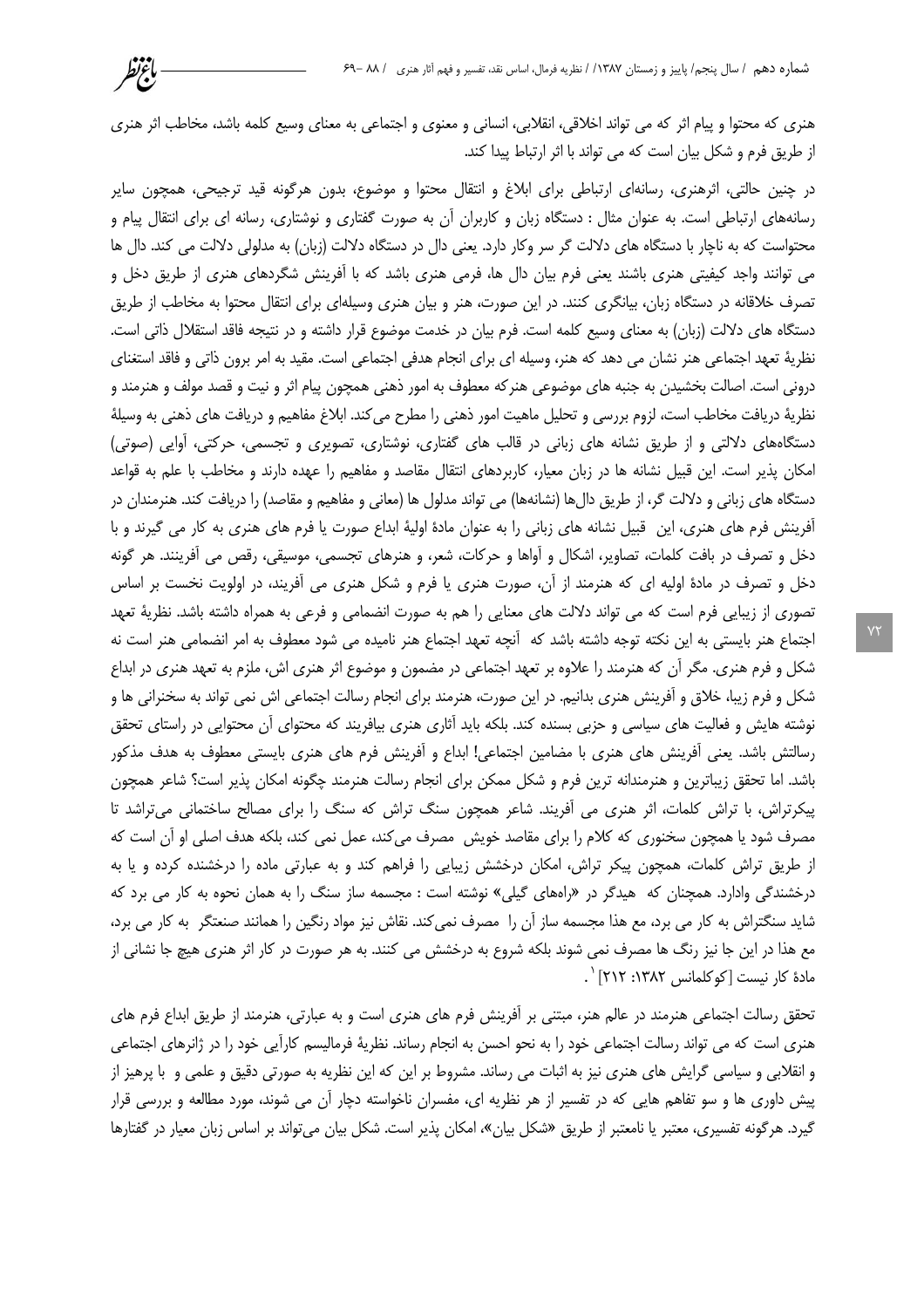هنری که محتوا و پیام اثر که می تواند اخلاقی، انقلابی، انسانی و معنوی و اجتماعی به معنای وسیع کلمه باشد، مخاطب اثر هنری از طریق فرم و شکل بیان است که می تواند با اثر ارتباط پیدا کند.

باغرنظر

در چنین حالتی، اثرهنری، رسانهای ارتباطی برای ابلاغ و انتقال محتوا و موضوع، بدون هرگونه قید ترجیحی، همچون سایر رسانههای ارتباطی است. به عنوان مثال : دستگاه زبان و کاربران أن به صورت گفتاری و نوشتاری، رسانه ای برای انتقال پیام و محتواست که به ناچار با دستگاه های دلالت گر سر وکار دارد. یعنی دال در دستگاه دلالت (زبان) به مدلولی دلالت می کند. دال ها می توانند واجد کیفیتی هنری باشند یعنی فرم بیان دال ها، فرمی هنری باشد که با اَفرینش شگردهای هنری از طریق دخل و تصرف خلاقانه در دستگاه زبان، بیانگری کنند. در این صورت، هنر و بیان هنری وسیلهای برای انتقال محتوا به مخاطب از طریق دستگاه های دلالت (زبان) به معنای وسیع کلمه است. فرم بیان در خدمت موضوع قرار داشته و در نتیجه فاقد استقلال ذاتی است. نظریهٔ تعهد اجتماعی هنر نشان می دهد که هنر، وسیله ای برای انجام هدفی اجتماعی است. مقید به امر برون ذاتی و فاقد استغنای درونی است. اصالت بخشیدن به جنبه های موضوعی هنرکه معطوف به امور ذهنی همچون پیام اثر و نیت و قصد مولف و هنرمند و نظريهٔ دريافت مخاطب است، لزوم بررسي و تحليل ماهيت امور ذهني را مطرح مي كند. ابلاغ مفاهيم و دريافت هاي ذهني به وسيلهٔ دستگاههای دلالتی و از طریق نشانه های زبانی در قالب های گفتاری، نوشتاری، تصویری و تجسمی، حرکتی، آوایی (صوتی) امکان پذیر است. این قبیل نشانه ها در زبان معیار، کاربردهای انتقال مقاصد و مفاهیم را عهده دارند و مخاطب با علم به قواعد دستگاه های زبانی و دلالت گر، از طریق دالها (نشانهها) می تواند مدلول ها (معانی و مفاهیم و مقاصد) را دریافت کند. هنرمندان در آفرینش فرم های هنری، این قبیل نشانه های زبانی را به عنوان مادهٔ اولیهٔ ابداع صورت یا فرم های هنری به کار می گیرند و با دخل و تصرف در بافت کلمات، تصاویر، اشکال و آواها و حرکات، شعر، و هنرهای تجسمی، موسیقی، رقص می آفرینند. هر گونه دخل و تصرف در مادهٔ اولیه ای که هنرمند از آن، صورت هنری یا فرم و شکل هنری می آفریند، در اولویت نخست بر اساس تصوری از زیبایی فرم است که می تواند دلالت های معنایی را هم به صورت انضمامی و فرعی به همراه داشته باشد. نظریهٔ تعهد اجتماع هنر بایستی به این نکته توجه داشته باشد که آنچه تعهد اجتماع هنر نامیده می شود معطوف به امر انضمامی هنر است نه شکل و فرم هنری. مگر اَن که هنرمند را علاوه بر تعهد اجتماعی در مضمون و موضوع اثر هنری اش، ملزم به تعهد هنری در ابداع شکل و فرم زیبا، خلاق و اَفرینش هنری بدانیم. در این صورت، هنرمند برای انجام رسالت اجتماعی اش نمی تواند به سخنرانی ها و نوشته هایش و فعالیت های سیاسی و حزبی بسنده کند. بلکه باید آثاری هنری بیافریند که محتوای آن محتوایی در راستای تحقق رسالتش باشد. یعنی اّفرینش های هنری با مضامین اجتماعی! ابداع و اّفرینش فرم های هنری بایستی معطوف به هدف مذکور باشد. اما تحقق زیباترین و هنرمندانه ترین فرم و شکل ممکن برای انجام رسالت هنرمند چگونه امکان پذیر است؟ شاعر همچون پیکرتراش، با تراش کلمات، اثر هنری می آفریند. شاعر همچون سنگ تراش که سنگ را برای مصالح ساختمانی میتراشد تا مصرف شود یا همچون سخنوری که کلام را برای مقاصد خویش ٍ مصرف میکند، عمل نمی کند، بلکه هدف اصلی او آن است که از طریق تراش کلمات، همچون پیکر تراش، امکان درخشش زیبایی را فراهم کند و به عبارتی ماده را درخشنده کرده و یا به درخشندگی وادارد. همچنان که هیدگر در «راههای گیلی» نوشته است : مجسمه ساز سنگ را به همان نحوه به کار می برد که شاید سنگتراش به کار می برد، مع هذا مجسمه ساز آن را مصرف نمی کند. نقاش نیز مواد رنگین را همانند صنعتگر به کار می برد، مع هذا در این جا نیز رنگ ها مصرف نمی شوند بلکه شروع به درخشش می کنند. به هر صورت در کار اثر هنری هیچ جا نشانی از مادة كار نيست [كوكلمانس ١٣٨٢: ٢١٢] `.

تحقق رسالت اجتماعی هنرمند در عالم هنر، مبتنی بر أفرینش فرم های هنری است و به عبارتی، هنرمند از طریق ابداع فرم های هنری است که می تواند رسالت اجتماعی خود را به نحو احسن به انجام رساند. نظریهٔ فرمالیسم کارآیی خود را در ژانرهای اجتماعی و انقلابی و سیاسی گرایش های هنری نیز به اثبات می رساند. مشروط بر این که این نظریه به صورتی دقیق و علمی و با پرهیز از پیش داوری ها و سو تفاهم هایی که در تفسیر از هر نظریه ای، مفسران ناخواسته دچار آن می شوند، مورد مطالعه و بررسی قرار گیرد. هرگونه تفسیری، معتبر یا نامعتبر از طریق «شکل بیان»، امکان پذیر است. شکل بیان میتواند بر اساس زبان معیار در گفتارها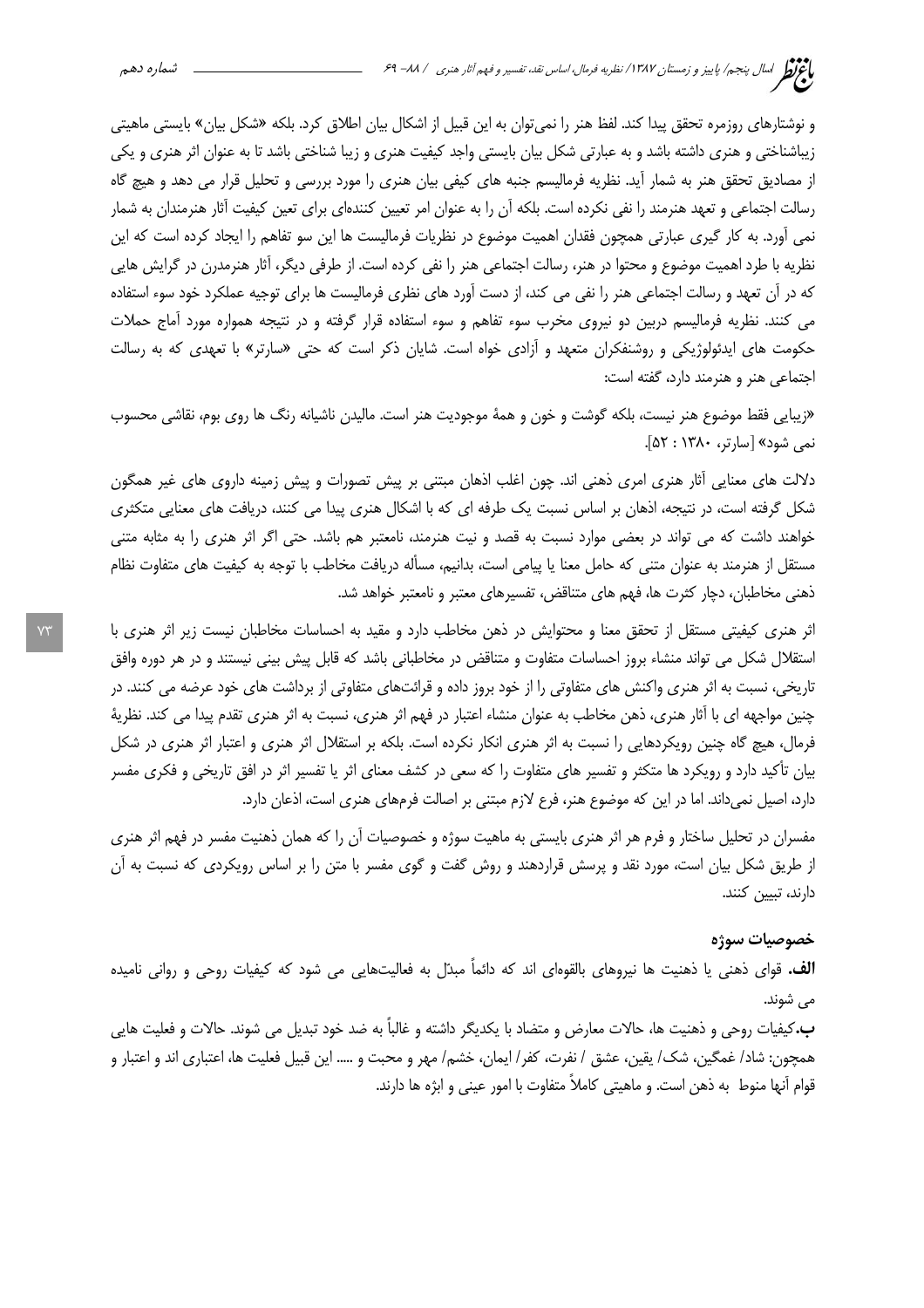و نوشتارهای روزمره تحقق پیدا کند. لفظ هنر را نمی توان به این قبیل از اشکال بیان اطلاق کرد. بلکه «شکل بیان» بایستی ماهیتی زیباشناختی و هنری داشته باشد و به عبارتی شکل بیان بایستی واجد کیفیت هنری و زیبا شناختی باشد تا به عنوان اثر هنری و یکی از مصادیق تحقق هنر به شمار آید. نظریه فرمالیسم جنبه های کیفی بیان هنری را مورد بررسی و تحلیل قرار می دهد و هیچ گاه رسالت اجتماعی و تعهد هنرمند را نفی نکرده است. بلکه اًن را به عنوان امر تعیین کنندهای برای تعین کیفیت آثار هنرمندان به شمار نمی آورد. به کار گیری عبارتی همچون فقدان اهمیت موضوع در نظریات فرمالیست ها این سو تفاهم را ایجاد کرده است که این نظریه با طرد اهمیت موضوع و محتوا در هنر، رسالت اجتماعی هنر را نفی کرده است. از طرفی دیگر، آثار هنرمدرن در گرایش هایی که در آن تعهد و رسالت اجتماعی هنر را نفی می کند، از دست آورد های نظری فرمالیست ها برای توجیه عملکرد خود سوء استفاده می کنند. نظریه فرمالیسم دربین دو نیروی مخرب سوء تفاهم و سوء استفاده قرار گرفته و در نتیجه همواره مورد آماج حملات حکومت های ایدئولوژیکی و روشنفکران متعهد و آزادی خواه است. شایان ذکر است که حتی «سارتر» با تعهدی که به رسالت اجتماعی هنر و هنرمند دارد، گفته است:

«زیبایی فقط موضوع هنر نیست، بلکه گوشت و خون و همهٔ موجودیت هنر است. مالیدن ناشیانه رنگ ها روی بوم، نقاشی محسوب نمي شود» [سارتر، ۱۳۸۰: ۵۲].

دلالت های معنایی آثار هنری امری ذهنی اند. چون اغلب اذهان مبتنی بر پیش تصورات و پیش زمینه داروی های غیر همگون شکل گرفته است، در نتیجه، اذهان بر اساس نسبت یک طرفه ای که با اشکال هنری پیدا می کنند، دریافت های معنایی متکثری خواهند داشت که می تواند در بعضی موارد نسبت به قصد و نیت هنرمند، نامعتبر هم باشد. حتی اگر اثر هنری را به مثابه متنی مستقل از هنرمند به عنوان متنی که حامل معنا یا پیامی است، بدانیم، مسأله دریافت مخاطب با توجه به کیفیت های متفاوت نظام ذهنی مخاطبان، دچار کثرت ها، فهم های متناقض، تفسیرهای معتبر و نامعتبر خواهد شد.

اثر هنری کیفیتی مستقل از تحقق معنا و محتوایش در ذهن مخاطب دارد و مقید به احساسات مخاطبان نیست زیر اثر هنری با استقلال شکل می تواند منشاء بروز احساسات متفاوت و متناقض در مخاطبانی باشد که قابل پیش بینی نیستند و در هر دوره وافق تاریخی، نسبت به اثر هنری واکنش های متفاوتی را از خود بروز داده و قرائتهای متفاوتی از برداشت های خود عرضه می کنند. در چنین مواجهه ای با آثار هنری، ذهن مخاطب به عنوان منشاء اعتبار در فهم اثر هنری، نسبت به اثر هنری تقدم پیدا می کند. نظریهٔ فرمال، هیچ گاه چنین رویکردهایی را نسبت به اثر هنری انکار نکرده است. بلکه بر استقلال اثر هنری و اعتبار اثر هنری در شکل بیان تأکید دارد و رویکرد ها متکثر و تفسیر های متفاوت را که سعی در کشف معنای اثر یا تفسیر اثر در افق تاریخی و فکری مفسر دارد، اصیل نمیداند. اما در این که موضوع هنر، فرع لازم مبتنی بر اصالت فرمهای هنری است، اذعان دارد.

مفسران در تحلیل ساختار و فرم هر اثر هنری بایستی به ماهیت سوژه و خصوصیات آن را که همان ذهنیت مفسر در فهم اثر هنری از طریق شکل بیان است، مورد نقد و پرسش قراردهند و روش گفت و گوی مفسر با متن را بر اساس رویکردی که نسبت به آن دارند، تييين كنند.

### خصوصيات سوژه

**الف.** قوای ذهنی یا ذهنیت ها نیروهای بالقومای اند که دائماً مبدّل به فعالیتهایی می شود که کیفیات روحی و روانی نامیده مي شوند.

ب.کيفيات روحي و ذهنيت ها، حالات معارض و متضاد با يکديگر داشته و غالباً به ضد خود تبديل مي شوند. حالات و فعليت هايي همچون: شاد/ غمگین، شک/ یقین، عشق / نفرت، کفر/ ایمان، خشم/ مهر و محبت و ….. این قبیل فعلیت ها، اعتباری اند و اعتبار و قوام آنها منوط به ذهن است. و ماهيتي كاملاً متفاوت با امور عيني و ابژه ها دارند.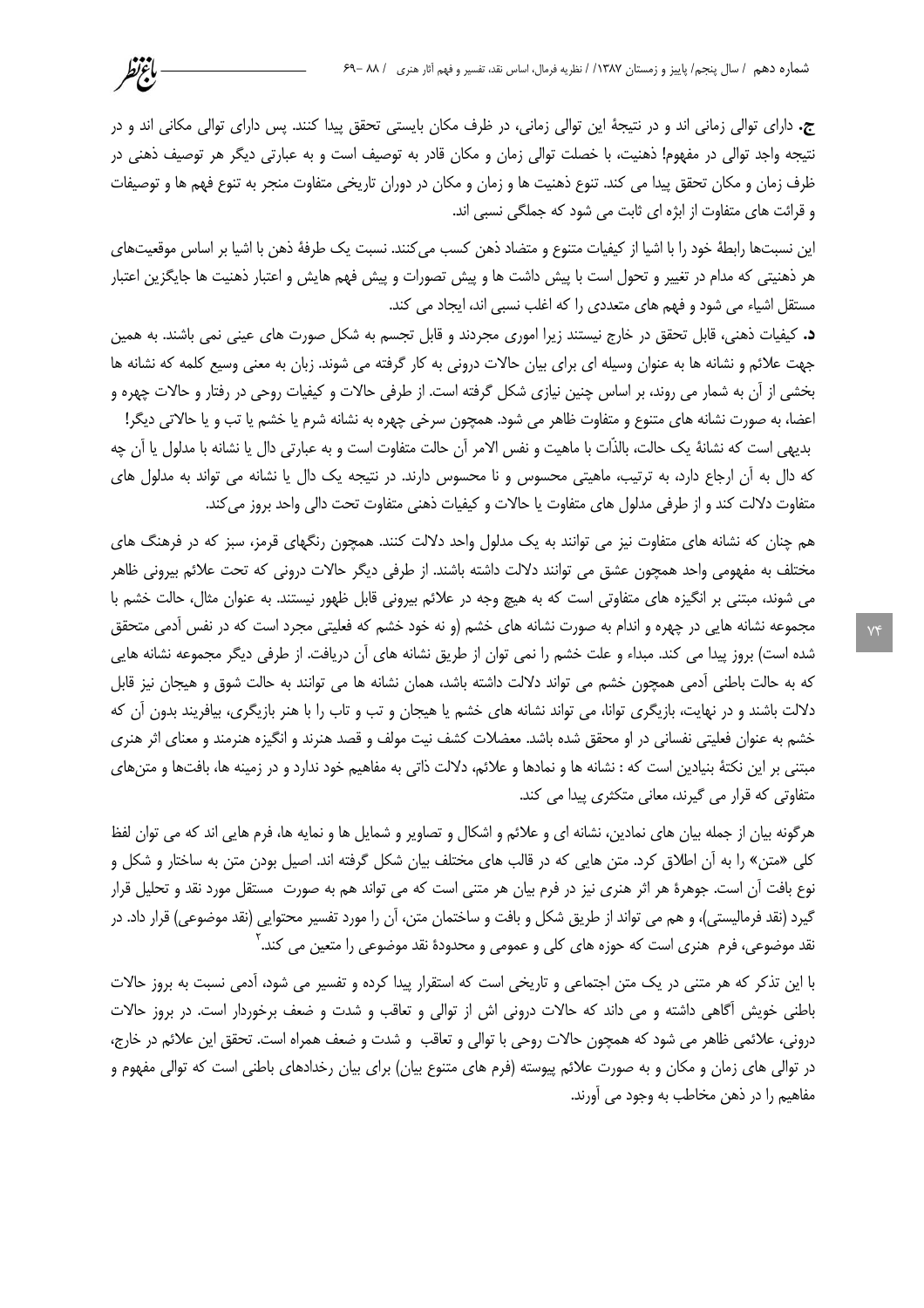ج. دارای توالی زمانی اند و در نتیجهٔ این توالی زمانی، در ظرف مکان بایستی تحقق پیدا کنند. پس دارای توالی مکانی اند و در نتیجه واجد توالی در مفهوم! ذهنیت، با خصلت توالی زمان و مکان قادر به توصیف است و به عبارتی دیگر هر توصیف ذهنی در ظرف زمان و مکان تحقق پیدا می کند. تنوع ذهنیت ها و زمان و مکان در دوران تاریخی متفاوت منجر به تنوع فهم ها و توصیفات و قرائت های متفاوت از ابژه ای ثابت می شود که جملگی نسبی اند.

باءتظر

این نسبتها رابطهٔ خود را با اشیا از کیفیات متنوع و متضاد ذهن کسب میکنند. نسبت یک طرفهٔ ذهن با اشیا بر اساس موقعیتهای هر ذهنیتی که مدام در تغییر و تحول است با پیش داشت ها و پیش تصورات و پیش فهم هایش و اعتبار ذهنیت ها جایگزین اعتبار مستقل اشیاء می شود و فهم های متعددی را که اغلب نسبی اند، ایجاد می کند.

د. کیفیات ذهنی، قابل تحقق در خارج نیستند زیرا اموری مجردند و قابل تجسم به شکل صورت های عینی نمی باشند. به همین جهت علائم و نشانه ها به عنوان وسیله ای برای بیان حالات درونی به کار گرفته می شوند. زبان به معنی وسیع کلمه که نشانه ها بخشی از آن به شمار می روند، بر اساس چنین نیازی شکل گرفته است. از طرفی حالات و کیفیات روحی در رفتار و حالات چهره و

اعضا، به صورت نشانه هاي متنوع و متفاوت ظاهر مي شود. همچون سرخي چهره به نشانه شرم يا خشم يا تب و يا حالاتي ديگر! بديهي است كه نشانهٔ يک حالت، بالذَّات با ماهيت و نفس الامر آن حالت متفاوت است و به عبارتي دال يا نشانه با مدلول يا آن چه که دال به أن ارجاع دارد، به ترتیب، ماهیتی محسوس و نا محسوس دارند. در نتیجه یک دال یا نشانه می تواند به مدلول های متفاوت دلالت كند و از طرفي مدلول هاي متفاوت يا حالات و كيفيات ذهني متفاوت تحت دالي واحد بروز مي كند.

هم چنان که نشانه های متفاوت نیز می توانند به یک مدلول واحد دلالت کنند. همچون رنگهای قرمز، سبز که در فرهنگ های مختلف به مفهومی واحد همچون عشق می توانند دلالت داشته باشند. از طرفی دیگر حالات درونی که تحت علائم بیرونی ظاهر می شوند، مبتنی بر انگیزه های متفاوتی است که به هیچ وجه در علائم بیرونی قابل ظهور نیستند. به عنوان مثال، حالت خشم با مجموعه نشانه هایی در چهره و اندام به صورت نشانه های خشم (و نه خود خشم که فعلیتی مجرد است که در نفس آدمی متحقق شده است) بروز پیدا می کند. مبداء و علت خشم را نمی توان از طریق نشانه های آن دریافت. از طرفی دیگر مجموعه نشانه هایی که به حالت باطنی اَدمی همچون خشم می تواند دلالت داشته باشد، همان نشانه ها می توانند به حالت شوق و هیجان نیز قابل دلالت باشند و در نهایت، بازیگری توانا، می تواند نشانه های خشم یا هیجان و تب و تاب را با هنر بازیگری، بیافریند بدون آن که خشم به عنوان فعلیتی نفسانی در او محقق شده باشد. معضلات کشف نیت مولف و قصد هنرند و انگیزه هنرمند و معنای اثر هنری مبتنی بر این نکتهٔ بنیادین است که : نشانه ها و نمادها و علائم، دلالت ذاتی به مفاهیم خود ندارد و در زمینه ها، بافتها و متنهای متفاوتی که قرار می گیرند، معانی متکثری پیدا می کند.

هرگونه بیان از جمله بیان های نمادین، نشانه ای و علائم و اشکال و تصاویر و شمایل ها و نمایه ها، فرم هایی اند که می توان لفظ کلی «متن» را به آن اطلاق کرد. متن هایی که در قالب های مختلف بیان شکل گرفته اند. اصیل بودن متن به ساختار و شکل و نوع بافت آن است. جوهرهٔ هر اثر هنری نیز در فرم بیان هر متنی است که می تواند هم به صورت مستقل مورد نقد و تحلیل قرار گیرد (نقد فرمالیستی)، و هم می تواند از طریق شکل و بافت و ساختمان متن، آن را مورد تفسیر محتوایی (نقد موضوعی) قرار داد. در نقد موضوعی، فرم هنری است که حوزه های کلی و عمومی و محدودهٔ نقد موضوعی را متعین می کند. ۲

با این تذکر که هر متنی در یک متن اجتماعی و تاریخی است که استقرار پیدا کرده و تفسیر می شود، آدمی نسبت به بروز حالات باطنی خویش آگاهی داشته و می داند که حالات درونی اش از توالی و تعاقب و شدت و ضعف برخوردار است. در بروز حالات درونی، علائمی ظاهر می شود که همچون حالات روحی با توالی و تعاقب و شدت و ضعف همراه است. تحقق این علائم در خارج، در توالی های زمان و مکان و به صورت علائم پیوسته (فرم های متنوع بیان) برای بیان رخدادهای باطنی است که توالی مفهوم و مفاهيم را در ذهن مخاطب به وجود مي آورند.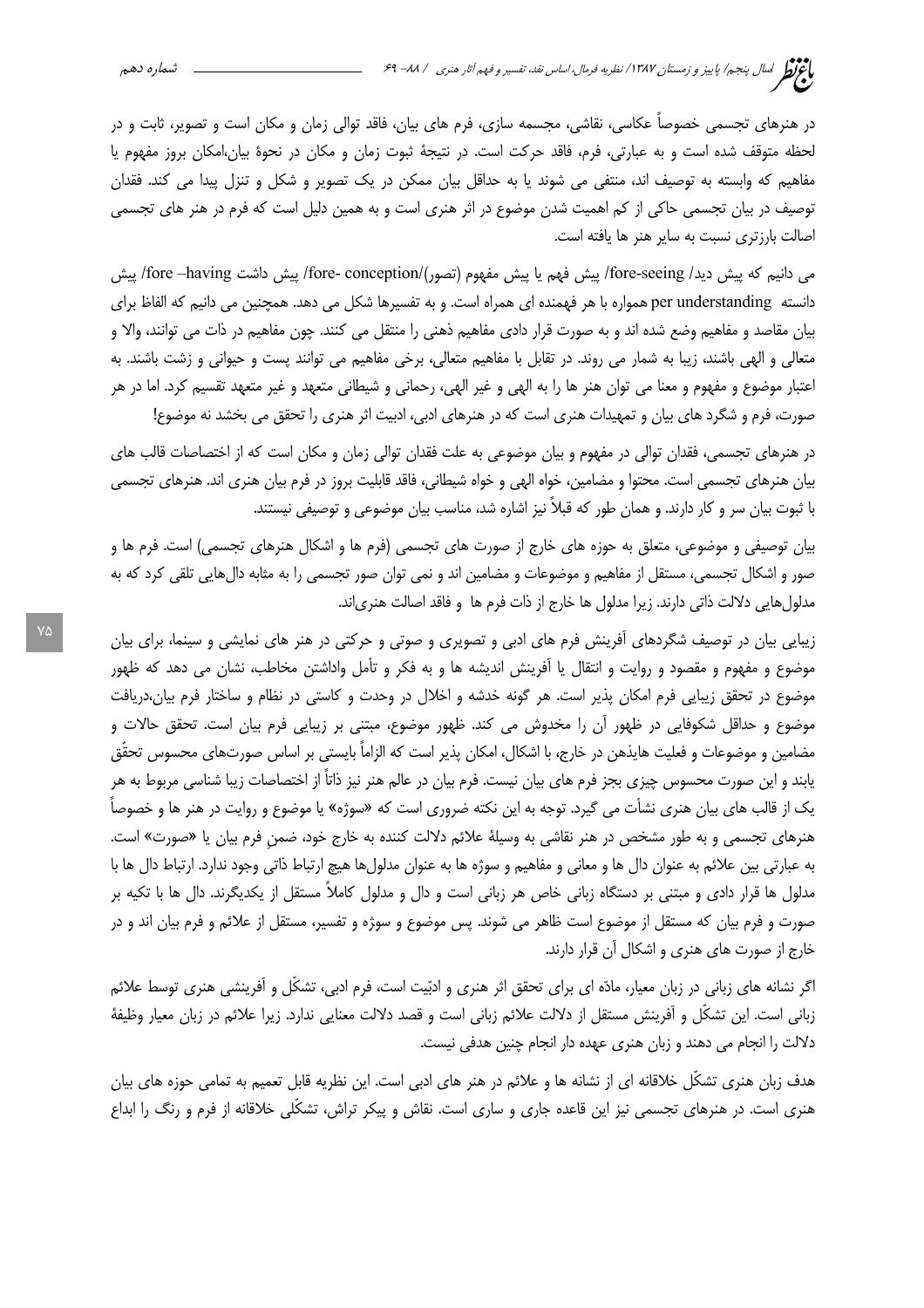در هنرهای تجسمی خصوصاً عکاسی، نقاشی، مجسمه سازی، فرم های بیان، فاقد توالی زمان و مکان است و تصویر، ثابت و در لحظه متوقف شده است و به عبارتی، فرم، فاقد حرکت است. در نتیجهٔ ثبوت زمان و مکان در نحوهٔ بیان،امکان بروز مفهوم یا مفاهیم که وابسته به توصیف اند، منتفی می شوند یا به حداقل بیان ممکن در یک تصویر و شکل و تنزل پیدا می کند. فقدان توصیف در بیان تجسمی حاکی از کم اهمیت شدن موضوع در اثر هنری است و به همین دلیل است که فرم در هنر های تجسمی اصالت بارزتری نسبت به سایر هنر ها یافته است.

مي دانيم كه پيش ديد/ fore-seeing/ پيش فهم يا پيش مفهوم (تصور)/fore-conception/ پيش داشت fore –having/ پيش دانسته per understanding همواره با هر فهمنده ای همراه است. و به تفسیرها شکل می دهد. همچنین می دانیم که الفاظ برای بیان مقاصد و مفاهیم وضع شده اند و به صورت قرار دادی مفاهیم ذهنی را منتقل می کنند. چون مفاهیم در ذات می توانند، والا و متعالی و الهی باشند، زیبا به شمار می روند. در تقابل با مفاهیم متعالی، برخی مفاهیم می توانند پست و حیوانی و زشت باشند. به اعتبار موضوع و مفهوم و معنا می توان هنر ها را به الهی و غیر الهی، رحمانی و شیطانی متعهد و غیر متعهد تقسیم کرد. اما در هر صورت، فرم و شگرد های بیان و تمهیدات هنری است که در هنرهای ادبی، ادبیت اثر هنری را تحقق می بخشد نه موضوع!

در هنرهای تجسمی، فقدان توالی در مفهوم و بیان موضوعی به علت فقدان توالی زمان و مکان است که از اختصاصات قالب های بیان هنرهای تجسمی است. محتوا و مضامین، خواه الهی و خواه شیطانی، فاقد قابلیت بروز در فرم بیان هنری اند. هنرهای تجسمی با ثبوت بیان سر و کار دارند. و همان طور که قبلاً نیز اشاره شد، مناسب بیان موضوعی و توصیفی نیستند.

بیان توصیفی و موضوعی، متعلق به حوزه های خارج از صورت های تجسمی (فرم ها و اشکال هنرهای تجسمی) است. فرم ها و صور و اشکال تجسمی، مستقل از مفاهیم و موضوعات و مضامین اند و نمی توان صور تجسمی را به مثابه دالهایی تلقی کرد که به مدلولهايي دلالت ذاتي دارند. زيرا مدلول ها خارج از ذات فرم ها و فاقد اصالت هنري|ند.

زیبایی بیان در توصیف شگردهای آفرینش فرم های ادبی و تصویری و صوتی و حرکتی در هنر های نمایشی و سینما، برای بیان موضوع و مفهوم و مقصود و روایت و انتقال یا آفرینش اندیشه ها و به فکر و تأمل واداشتن مخاطب، نشان می دهد که ظهور موضوع در تحقق زیبایی فرم امکان پذیر است. هر گونه خدشه و اخلال در وحدت و کاستی در نظام و ساختار فرم بیان،دریافت موضوع و حداقل شکوفایی در ظهور آن را مخدوش می کند. ظهور موضوع، مبتنی بر زیبایی فرم بیان است. تحقق حالات و مضامین و موضوعات و فعلیت هایذهن در خارج، با اشکال، امکان پذیر است که الزاماً بایستی بر اساس صورتهای محسوس تحقّق یابند و این صورت محسوس چیزی بجز فرم های بیان نیست. فرم بیان در عالم هنر نیز ذاتاً از اختصاصات زیبا شناسی مربوط به هر یک از قالب های بیان هنری نشأت می گیرد. توجه به این نکته ضروری است که «سوژه» یا موضوع و روایت در هنر ها و خصوصاً هنرهای تجسمی و به طور مشخص در هنر نقاشی به وسیلهٔ علائم دلالت کننده به خارج خود، ضمن فرم بیان یا «صورت» است. به عبارتی بین علائم به عنوان دال ها و معانی و مفاهیم و سوژه ها به عنوان مدلولها هیچ ارتباط ذاتی وجود ندارد. ارتباط دال ها با مدلول ها قرار دادی و مبتنی بر دستگاه زبانی خاص هر زبانی است و دال و مدلول کاملاً مستقل از یکدیگرند. دال ها با تکیه بر صورت و فرم بیان که مستقل از موضوع است ظاهر می شوند. پس موضوع و سوژه و تفسیر، مستقل از علائم و فرم بیان اند و در خارج از صورت های هنری و اشکال آن قرار دارند.

اگر نشانه های زبانی در زبان معیار، مادّه ای برای تحقق اثر هنری و ادبّیت است، فرم ادبی، تشکّل و آفرینشی هنری توسط علائم زبانی است. این تشکّل و اّفرینش مستقل از دلالت علائم زبانی است و قصد دلالت معنایی ندارد. زیرا علائم در زبان معیار وظیفهٔ دلالت را انجام می دهند و زبان هنری عهده دار انجام چنین هدفی نیست.

هدف زبان هنری تشکّل خلاقانه ای از نشانه ها و علائم در هنر های ادبی است. این نظریه قابل تعمیم به تمامی حوزه های بیان هنری است. در هنرهای تجسمی نیز این قاعده جاری و ساری است. نقاش و پیکر تراش، تشکّلی خلاقانه از فرم و رنگ را ابداع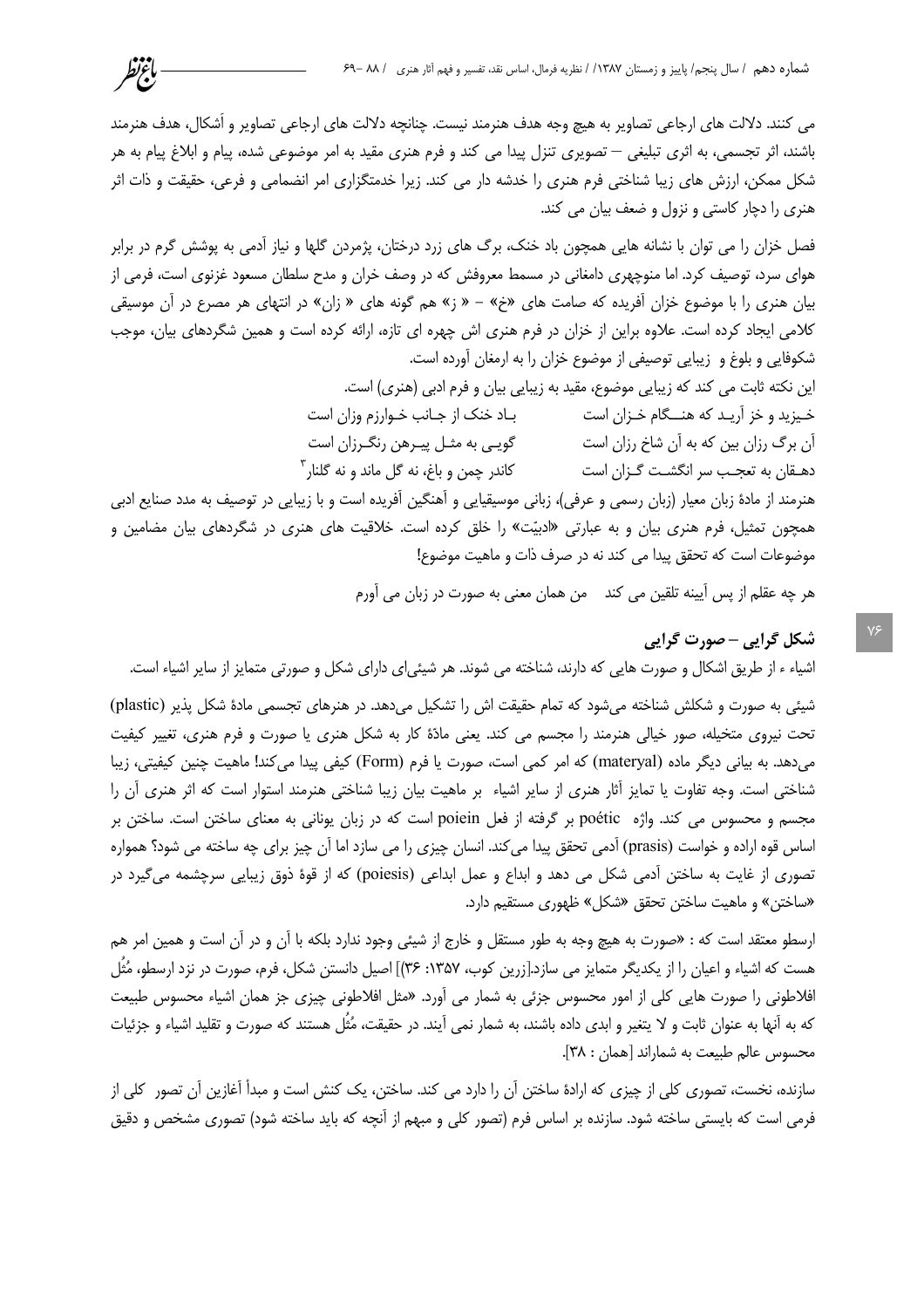می کنند. دلالت های ارجاعی تصاویر به هیچ وجه هدف هنرمند نیست. چنانچه دلالت های ارجاعی تصاویر و اُشکال، هدف هنرمند باشند، اثر تجسمی، به اثری تبلیغی — تصویری تنزل پیدا می کند و فرم هنری مقید به امر موضوعی شده، پیام و ابلاغ پیام به هر شکل ممکن، ارزش های زیبا شناختی فرم هنری را خدشه دار می کند. زیرا خدمتگزاری امر انضمامی و فرعی، حقیقت و ذات اثر هنری را دچار کاستی و نزول و ضعف بیان می کند.

باغتظر

فصل خزان را می توان با نشانه هایی همچون باد خنک، برگ های زرد درختان، پژمردن گلها و نیاز آدمی به پوشش گرم در برابر هوای سرد، توصیف کرد. اما منوچهری دامغانی در مسمط معروفش که در وصف خران و مدح سلطان مسعود غزنوی است، فرمی از بیان هنری را با موضوع خزان آفریده که صامت های «خ» – « ;» هم گونه های « زان» در انتهای هر مصرع در آن موسیقی کلامی ایجاد کرده است. علاوه براین از خزان در فرم هنری اش چهره ای تازه، ارائه کرده است و همین شگردهای بیان، موجب شکوفایی و بلوغ و زیبایی توصیفی از موضوع خزان را به ارمغان آورده است.

> این نکته ثابت می کند که زیبایی موضوع، مقید به زیبایی بیان و فرم ادبی (هنری) است. خیزید و خز آریـد که هنـــگام خـزان است بـاد خنک از جـانب خـوارزم وزان است آن برگ رزان بین که به آن شاخ رزان است مصد گویـی به مثـل پیـرهن رنگـرزان است کاندر چمن و باغ، نه گل ماند و نه گلنار<sup>۳</sup> دهـقان به تعجـب سر انگشـت گـزان است

هنرمند از مادهٔ زبان معیار (زبان رسمی و عرفی)، زبانی موسیقیایی و آهنگین آفریده است و با زیبایی در توصیف به مدد صنایع ادبی همچون تمثیل، فرم هنری بیان و به عبارتی «ادبیّت» را خلق کرده است. خلاقیت های هنری در شگردهای بیان مضامین و موضوعات است كه تحقق پيدا مي كند نه در صرف ذات و ماهيت موضوع!

هر چه عقلم از پس آیینه تلقین می کند من همان معنی به صورت در زبان می آورم

## شکل گرایی - صورت گرایی

اشیاء ء از طریق اشکال و صورت هایی که دارند، شناخته می شوند. هر شیئی|ی دارای شکل و صورتی متمایز از سایر اشیاء است.

شیئی به صورت و شکلش شناخته می شود که تمام حقیقت اش را تشکیل می دهد. در هنرهای تجسمی مادهٔ شکل پذیر (plastic) تحت نیروی متخیله، صور خیالی هنرمند را مجسم می کند. یعنی مادّهٔ کار به شکل هنری یا صورت و فرم هنری، تغییر کیفیت مے دھد. به بیانی دیگر ماده (materyal) که امر کمی است، صورت یا فرم (Form) کیفی پیدا می کند! ماهیت چنین کیفیتی، زیبا شناختی است. وجه تفاوت یا تمایز آثار هنری از سایر اشیاء بر ماهیت بیان زیبا شناختی هنرمند استوار است که اثر هنری آن را مجسم و محسوس می کند. واژه poétic بر گرفته از فعل poiein است که در زبان یونانی به معنای ساختن است. ساختن بر اساس قوه اراده و خواست (prasis) آدمی تحقق پیدا می کند. انسان چیزی را می سازد اما آن چیز برای چه ساخته می شود؟ همواره تصوري از غايت به ساختن آدمي شکل مي دهد و ابداع و عمل ابداعي (poiesis) که از قوهٔ ذوق زيبايي سرچشمه مي گيرد در «ساختن» و ماهیت ساختن تحقق «شکل» ظهوری مستقیم دارد.

ارسطو معتقد است که : «صورت به هیچ وجه به طور مستقل و خارج از شیئی وجود ندارد بلکه با آن و در آن است و همین امر هم هست که اشیاء و اعیان را از یکدیگر متمایز می سازد.[زرین کوب، ۱۳۵۷: ۳۶]] اصیل دانستن شکل، فرم، صورت در نزد ارسطو، مُثُل افلاطونی را صورت هایی کلی از امور محسوس جزئی به شمار می آورد. «مثل افلاطونی چیزی جز همان اشیاء محسوس طبیعت که به اّنها به عنوان ثابت و لا يتغير و ابدي داده باشند، به شمار نمي اّيند. در حقيقت، مُثُل هستند که صورت و تقليد اشياء و جزئيات محسوس عالم طبيعت به شماراند [همان: ٣٨].

سازنده، نخست، تصوری کلی از چیزی که ارادهٔ ساختن آن را دارد می کند. ساختن، یک کنش است و مبدأ آغازین آن تصور کلی از فرمی است که بایستی ساخته شود. سازنده بر اساس فرم (تصور کلی و مبهم از آنچه که باید ساخته شود) تصوری مشخص و دقیق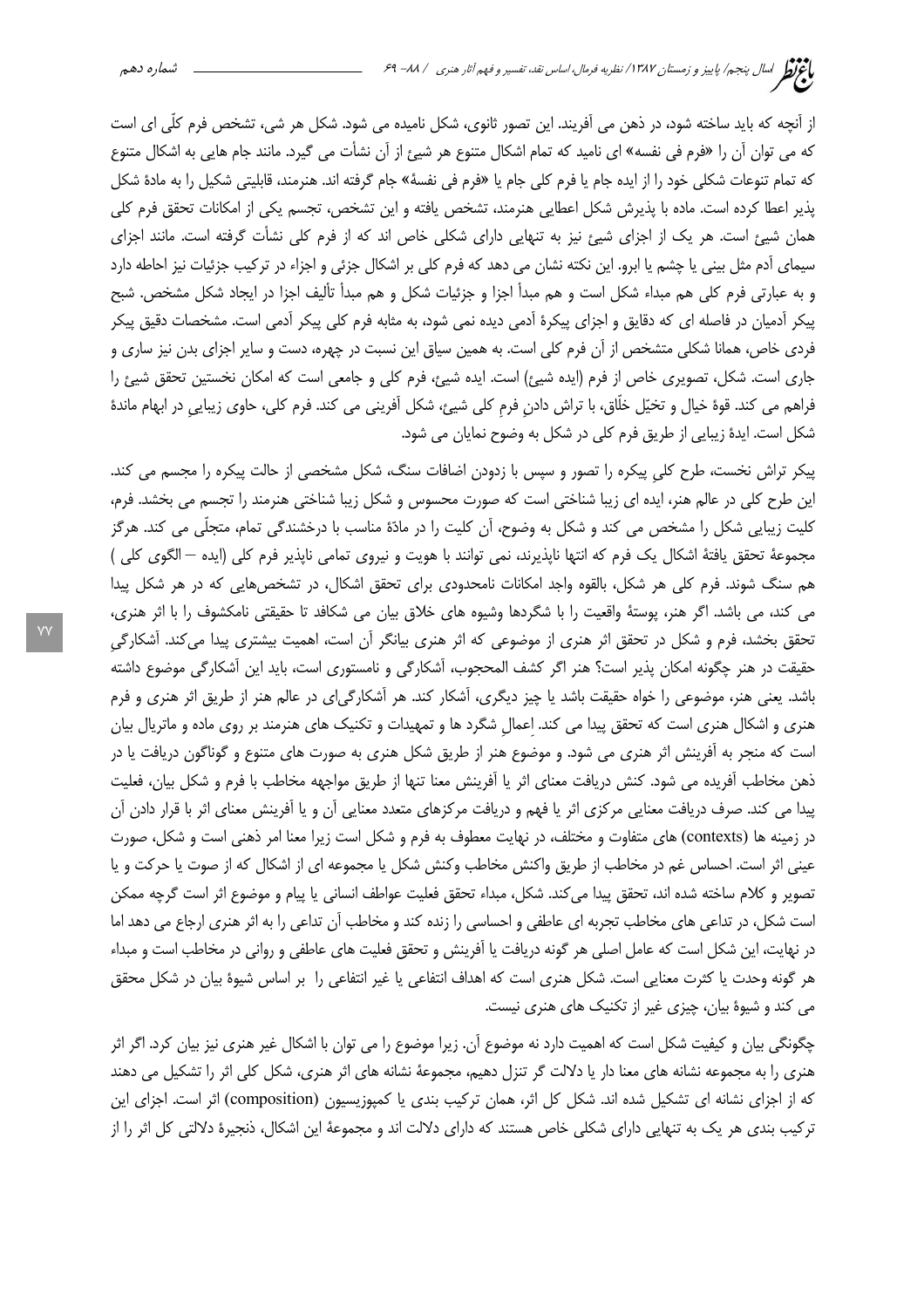از آنچه که باید ساخته شود، در ذهن می آفریند. این تصور ثانوی، شکل نامیده می شود. شکل هر شی، تشخص فرم کلّی ای است که می توان آن را «فرم فی نفسه» ای نامید که تمام اشکال متنوع هر شیئ از آن نشأت می گیرد. مانند جام هایی به اشکال متنوع كه تمام تنوعات شكلي خود را از ايده جام يا فرم كلي جام يا «فرم في نفسهٔ» جام گرفته اند. هنرمند، قابليتي شكيل را به مادهٔ شكل پذیر اعطا کرده است. ماده با پذیرش شکل اعطایی هنرمند، تشخص یافته و این تشخص، تجسم یکی از امکانات تحقق فرم کلی همان شیئ است. هر یک از اجزای شیئ نیز به تنهایی دارای شکلی خاص اند که از فرم کلی نشأت گرفته است. مانند اجزای سیمای آدم مثل بینی یا چشم یا ابرو. این نکته نشان می دهد که فرم کلی بر اشکال جزئی و اجزاء در ترکیب جزئیات نیز احاطه دارد و به عبارتی فرم کلی هم مبداء شکل است و هم مبدأ اجزا و جزئیات شکل و هم مبدأ تألیف اجزا در ایجاد شکل مشخص. شبح پیکر آدمیان در فاصله ای که دقایق و اجزای پیکرهٔ آدمی دیده نمی شود، به مثابه فرم کلی پیکر آدمی است. مشخصات دقیق پیکر فردی خاص، همانا شکلی متشخص از آن فرم کلی است. به همین سیاق این نسبت در چهره، دست و سایر اجزای بدن نیز ساری و جاری است. شکل، تصویری خاص از فرم (ایده شیئ) است. ایده شیئ، فرم کلی و جامعی است که امکان نخستین تحقق شیئ را فراهم می کند. قوۂ خیال و تخیّل خلّاق، با تراش دادن فرم کلی شیئ، شکل آفرینی می کند. فرم کلی، حاوی زیبایی در ابهام ماندۂ شکل است. ایدهٔ زیبایی از طریق فرم کلی در شکل به وضوح نمایان می شود.

پیکر تراش نخست، طرح کلی پیکره را تصور و سپس با زدودن اضافات سنگ، شکل مشخصی از حالت پیکره را مجسم می کند. این طرح کلی در عالم هنر، ایده ای زیبا شناختی است که صورت محسوس و شکل زیبا شناختی هنرمند را تجسم می بخشد. فرم، کلیت زیبایی شکل را مشخص می کند و شکل به وضوح، أن کلیت را در مادّهٔ مناسب با درخشندگی تمام، متجلّی می کند. هرگز مجموعهٔ تحقق یافتهٔ اشکال یک فرم که انتها ناپذیرند، نمی توانند با هویت و نیروی تمامی ناپذیر فرم کلی (ایده — الگوی کلی ) هم سنگ شوند. فرم کلی هر شکل، بالقوه واجد امکانات نامحدودی برای تحقق اشکال، در تشخصهایی که در هر شکل پیدا می کند، می باشد. اگر هنر، پوستهٔ واقعیت را با شگردها وشیوه های خلاق بیان می شکافد تا حقیقتی نامکشوف را با اثر هنری، تحقق بخشد، فرم و شکل در تحقق اثر هنری از موضوعی که اثر هنری بیانگر آن است، اهمیت بیشتری پیدا میکند. آشکارگی حقیقت در هنر چگونه امکان پذیر است؟ هنر اگر کشف المحجوب، آشکارگی و نامستوری است، باید این آشکارگی موضوع داشته باشد. یعنی هنر، موضوعی را خواه حقیقت باشد یا چیز دیگری، آشکار کند. هر آشکارگی|ی در عالم هنر از طریق اثر هنری و فرم هنری و اشکال هنری است که تحقق پیدا می کند. اعمال شگرد ها و تمهیدات و تکنیک های هنرمند بر روی ماده و ماتریال بیان است که منجر به آفرینش اثر هنری می شود. و موضوع هنر از طریق شکل هنری به صورت های متنوع و گوناگون دریافت یا در ذهن مخاطب أفريده مي شود. كنش دريافت معناي اثر يا أفرينش معنا تنها از طريق مواجهه مخاطب با فرم و شكل بيان، فعليت پیدا می کند. صرف دریافت معنایی مرکزی اثر یا فهم و دریافت مرکزهای متعدد معنایی آن و یا آفرینش معنای اثر با قرار دادن آن در زمینه ها (contexts) های متفاوت و مختلف، در نهایت معطوف به فرم و شکل است زیرا معنا امر ذهنی است و شکل، صورت عینی اثر است. احساس غم در مخاطب از طریق واکنش مخاطب وکنش شکل یا مجموعه ای از اشکال که از صوت یا حرکت و یا تصوير و كلام ساخته شده اند، تحقق پيدا مي كند. شكل، مبداء تحقق فعليت عواطف انساني يا پيام و موضوع اثر است گرچه ممكن است شکل، در تداعی های مخاطب تجربه ای عاطفی و احساسی را زنده کند و مخاطب آن تداعی را به اثر هنری ارجاع می دهد اما در نهایت، این شکل است که عامل اصلی هر گونه دریافت یا آفرینش و تحقق فعلیت های عاطفی و روانی در مخاطب است و مبداء هر گونه وحدت یا کثرت معنایی است. شکل هنری است که اهداف انتفاعی یا غیر انتفاعی را بر اساس شیوهٔ بیان در شکل محقق می کند و شیوهٔ بیان، چیزی غیر از تکنیک های هنری نیست.

چگونگی بیان و کیفیت شکل است که اهمیت دارد نه موضوع آن. زیرا موضوع را می توان با اشکال غیر هنری نیز بیان کرد. اگر اثر هنری را به مجموعه نشانه های معنا دار یا دلالت گر تنزل دهیم، مجموعهٔ نشانه های اثر هنری، شکل کلی اثر را تشکیل می دهند که از اجزای نشانه ای تشکیل شده اند. شکل کل اثر، همان ترکیب بندی یا کمپوزیسیون (composition) اثر است. اجزای این ترکیب بندی هر یک به تنهایی دارای شکلی خاص هستند که دارای دلالت اند و مجموعهٔ این اشکال، ذنجیرهٔ دلالتی کل اثر را از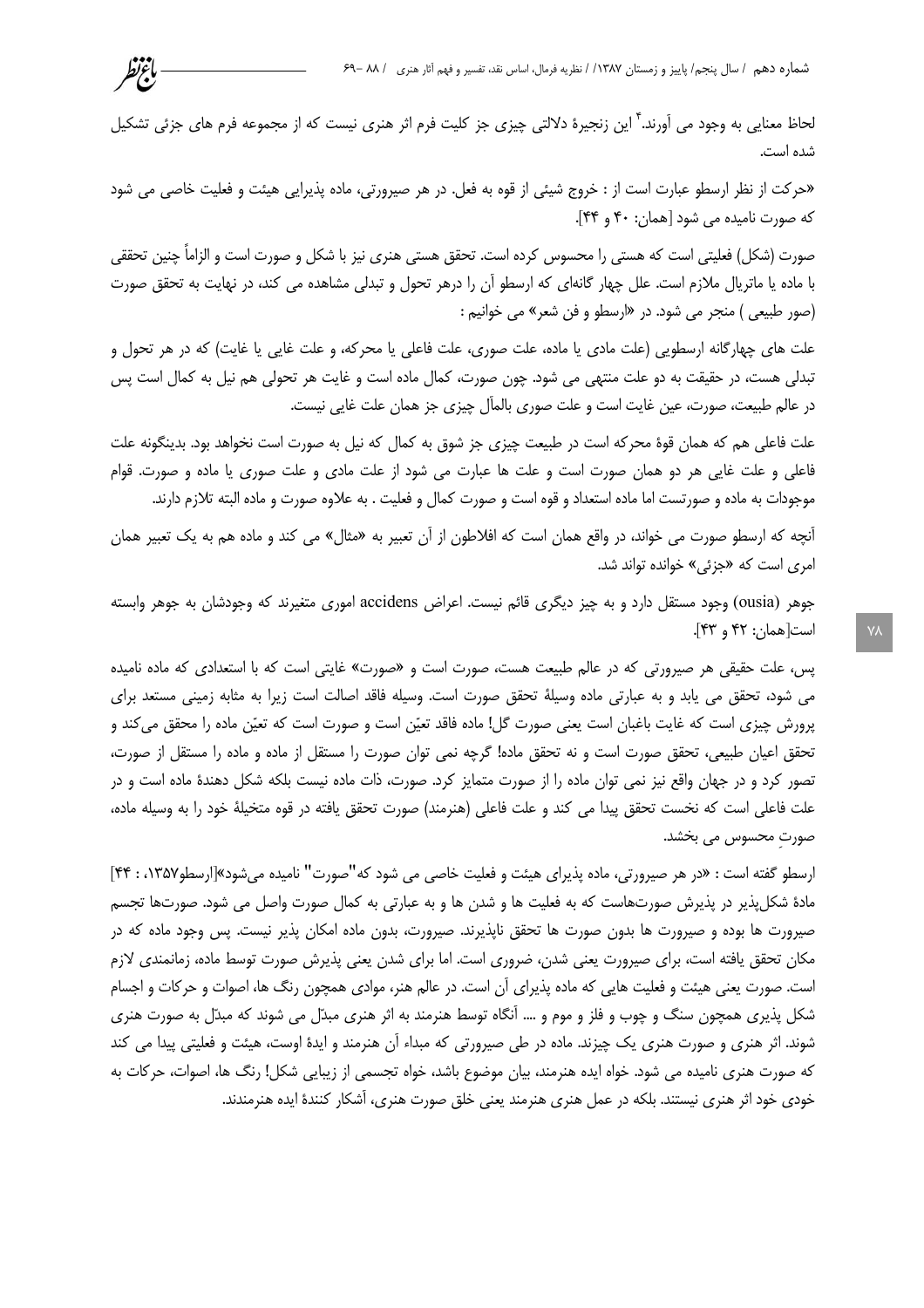لحاظ معنایی به وجود می آورند.<sup>۲</sup> این زنجیرهٔ دلالتی چیزی جز کلیت فرم اثر هنری نیست که از مجموعه فرم های جزئی تشکیل شده است.

باءتظر

«حرکت از نظر ارسطو عبارت است از : خروج شیئی از قوه به فعل. در هر صیرورتی، ماده پذیرایی هیئت و فعلیت خاصی می شود كه صورت ناميده مي شود [همان: ۴۰ و ۴۴].

صورت (شکل) فعلیتی است که هستی را محسوس کرده است. تحقق هستی هنری نیز با شکل و صورت است و الزاماً چنین تحققی با ماده یا ماتریال ملازم است. علل چهار گانهای که ارسطو آن را درهر تحول و تبدلی مشاهده می کند، در نهایت به تحقق صورت (صور طبیعی ) منجر می شود. در «ارسطو و فن شعر» می خوانیم :

علت های چهارگانه ارسطویی (علت مادی یا ماده، علت صوری، علت فاعلی یا محرکه، و علت غایی یا غایت) که در هر تحول و تبدلی هست، در حقیقت به دو علت منتهی می شود. چون صورت، کمال ماده است و غایت هر تحولی هم نیل به کمال است پس در عالم طبیعت، صورت، عین غایت است و علت صوری بالمآل چیزی جز همان علت غایی نیست.

علت فاعلی هم که همان قوهٔ محرکه است در طبیعت چیزی جز شوق به کمال که نیل به صورت است نخواهد بود. بدینگونه علت فاعلی و علت غایی هر دو همان صورت است و علت ها عبارت می شود از علت مادی و علت صوری یا ماده و صورت. قوام موجودات به ماده و صورتست اما ماده استعداد و قوه است و صورت کمال و فعلیت . به علاوه صورت و ماده البته تلازم دارند.

آنچه که ارسطو صورت می خواند، در واقع همان است که افلاطون از آن تعبیر به «مثال» می کند و ماده هم به یک تعبیر همان امري است كه «جزئي» خوانده تواند شد.

جوهر (ousia) وجود مستقل دارد و به چیز دیگری قائم نیست. اعراض accidens اموری متغیرند که وجودشان به جوهر وابسته است[همان: ۴۲ و ۴۳].

پس، علت حقیقی هر صیرورتی که در عالم طبیعت هست، صورت است و «صورت» غایتی است که با استعدادی که ماده نامیده می شود، تحقق می یابد و به عبارتی ماده وسیلهٔ تحقق صورت است. وسیله فاقد اصالت است زیرا به مثابه زمینی مستعد برای پرورش چیزی است که غایت باغبان است یعنی صورت گل! ماده فاقد تعیّن است و صورت است که تعیّن ماده را محقق می کند و تحقق اعیان طبیعی، تحقق صورت است و نه تحقق ماده! گرچه نمی توان صورت را مستقل از ماده و ماده را مستقل از صورت، تصور کرد و در جهان واقع نیز نمی توان ماده را از صورت متمایز کرد. صورت، ذات ماده نیست بلکه شکل دهندهٔ ماده است و در علت فاعلی است که نخست تحقق پیدا می کند و علت فاعلی (هنرمند) صورت تحقق یافته در قوه متخیلهٔ خود را به وسیله ماده، صورت محسوس می بخشد.

ارسطو گفته است : «در هر صیرورتی، ماده پذیرای هیئت و فعلیت خاصی می شود که"صورت" نامیده می شود»[ارسطو۱۳۵۷، : ۴۴] مادهٔ شکلپذیر در پذیرش صورتهاست که به فعلیت ها و شدن ها و به عبارتی به کمال صورت واصل می شود. صورتها تجسم صیرورت ها بوده و صیرورت ها بدون صورت ها تحقق ناپذیرند. صیرورت، بدون ماده امکان پذیر نیست. پس وجود ماده که در مکان تحقق یافته است، برای صیرورت یعنی شدن، ضروری است. اما برای شدن یعنی پذیرش صورت توسط ماده، زمانمندی لازم است. صورت یعنی هیئت و فعلیت هایی که ماده پذیرای آن است. در عالم هنر، موادی همچون رنگ ها، اصوات و حرکات و اجسام شکل پذیری همچون سنگ و چوب و فلز و موم و …. آنگاه توسط هنرمند به اثر هنری مبدّل می شوند که مبدّل به صورت هنری شوند. اثر هنری و صورت هنری یک چیزند. ماده در طی صیرورتی که مبداء آن هنرمند و ایدهٔ اوست، هیئت و فعلیتی پیدا می کند که صورت هنری نامیده می شود. خواه ایده هنرمند، بیان موضوع باشد، خواه تجسمی از زیبایی شکل! رنگ ها، اصوات، حرکات به خودی خود اثر هنری نیستند. بلکه در عمل هنری هنرمند یعنی خلق صورت هنری، آشکار کنندهٔ ایده هنرمندند.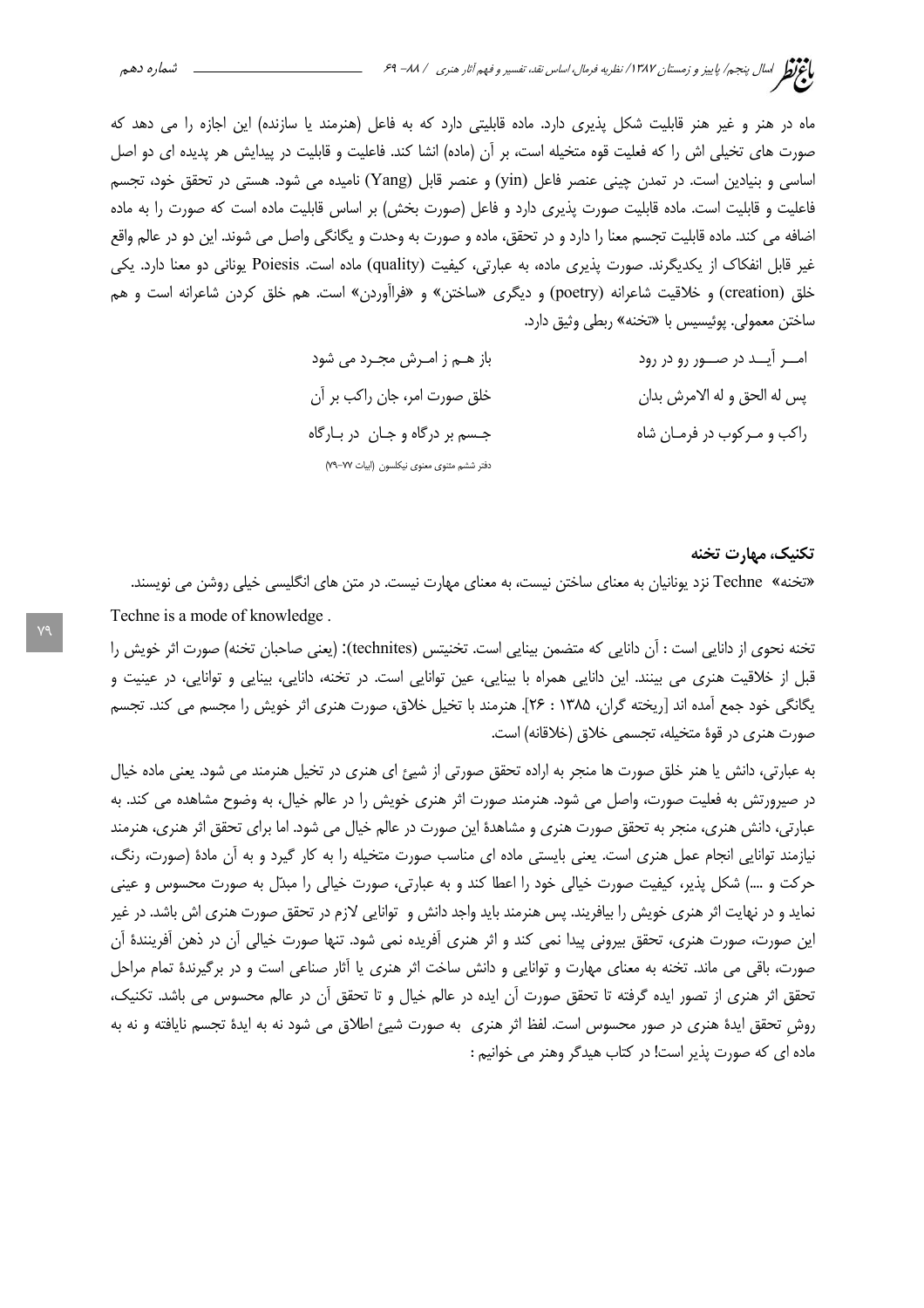ماه در هنر و غیر هنر قابلیت شکل پذیری دارد. ماده قابلیتی دارد که به فاعل (هنرمند یا سازنده) این اجازه را می دهد که صورت های تخیلی اش را که فعلیت قوه متخیله است، بر آن (ماده) انشا کند. فاعلیت و قابلیت در پیدایش هر پدیده ای دو اصل اساسی و بنیادین است. در تمدن چینی عنصر فاعل (yin) و عنصر قابل (Yang) نامیده می شود. هستی در تحقق خود، تجسم فاعلیت و قابلیت است. ماده قابلیت صورت پذیری دارد و فاعل (صورت بخش) بر اساس قابلیت ماده است که صورت را به ماده اضافه می کند. ماده قابلیت تجسم معنا را دارد و در تحقق، ماده و صورت به وحدت و یگانگی واصل می شوند. این دو در عالم واقع غیر قابل انفکاک از یکدیگرند. صورت پذیری ماده، به عبارتی، کیفیت (quality) ماده است. Poiesis یونانی دو معنا دارد. یکی خلق (creation) و خلاقیت شاعرانه (poetry) و دیگری «ساختن» و «فراأوردن» است. هم خلق کردن شاعرانه است و هم ساختن معمولي. يوئيسيس با «تخنه» ربطي وثيق دارد.

| باز هـم ز امـرش مجـرد مى شود               | امـــر آيـــد در صــــور رو در رود |
|--------------------------------------------|------------------------------------|
| خلق صورت امر، جان راكب بر أن               | پس له الحق و له الامرش بدان        |
| جسم بر درگاه و جـان در بـارگاه             | راکب و مـرکوب در فرمـان شاه        |
| دفتر ششم مثنوى معنوى نيكلسون (ابيات ٧٧-٧٩) |                                    |

تكنيك، مهارت تخنه

«تخنه» Techne نزد یونانیان به معنای ساختن نیست، به معنای مهارت نیست. در متن های انگلیسی خیلی روشن می نویسند. Techne is a mode of knowledge.

تخنه نحوی از دانایی است : آن دانایی که متضمن بینایی است. تخنیتس (technites): (یعنی صاحبان تخنه) صورت اثر خویش را قبل از خلاقیت هنری می بینند. این دانایی همراه با بینایی، عین توانایی است. در تخنه، دانایی، بینایی و توانایی، در عینیت و يگانگي خود جمع آمده اند [ريخته گران، ۱۳۸۵ : ۲۶]. هنرمند با تخيل خلاق، صورت هنري اثر خويش را مجسم مي كند. تجسم صورت هنری در قوهٔ متخیله، تجسمی خلاق (خلاقانه) است.

به عبارتی، دانش یا هنر خلق صورت ها منجر به اراده تحقق صورتی از شیئ ای هنری در تخیل هنرمند می شود. یعنی ماده خیال در صیرورتش به فعلیت صورت، واصل می شود. هنرمند صورت اثر هنری خویش را در عالم خیال، به وضوح مشاهده می کند. به عبارتی، دانش هنری، منجر به تحقق صورت هنری و مشاهدهٔ این صورت در عالم خیال می شود. اما برای تحقق اثر هنری، هنرمند نیازمند توانایی انجام عمل هنری است. یعنی بایستی ماده ای مناسب صورت متخیله را به کار گیرد و به آن مادهٔ (صورت، رنگ، حرکت و ....) شکل پذیر، کیفیت صورت خیالی خود را اعطا کند و به عبارتی، صورت خیالی را مبدّل به صورت محسوس و عینی نماید و در نهایت اثر هنری خویش را بیافریند. پس هنرمند باید واجد دانش و توانایی لازم در تحقق صورت هنری اش باشد. در غیر این صورت، صورت هنری، تحقق بیرونی پیدا نمی کند و اثر هنری آفریده نمی شود. تنها صورت خیالی آن در ذهن آفرینندهٔ آن صورت، باقی می ماند. تخنه به معنای مهارت و توانایی و دانش ساخت اثر هنری یا آثار صناعی است و در برگیرندهٔ تمام مراحل تحقق اثر هنري از تصور ايده گرفته تا تحقق صورت آن ايده در عالم خيال و تا تحقق آن در عالم محسوس مي باشد. تكنيك، روش تحقق ایدهٔ هنری در صور محسوس است. لفظ اثر هنری ً به صورت شیئ اطلاق می شود نه به ایدهٔ تجسم نایافته و نه به ماده ای که صورت پذیر است! در کتاب هیدگر وهنر می خوانیم :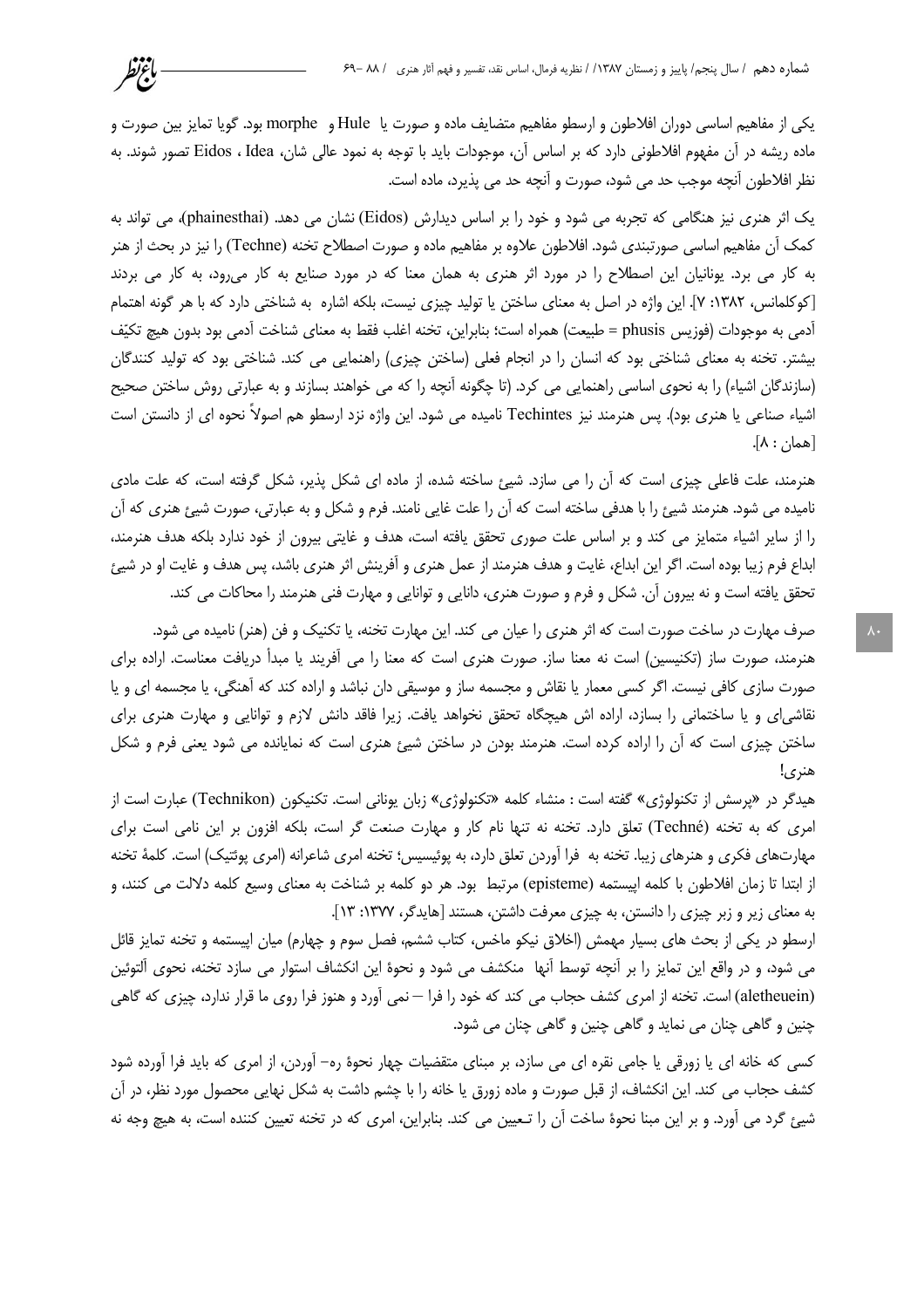یکی از مفاهیم اساسی دوران افلاطون و ارسطو مفاهیم متضایف ماده و صورت یا Hule و morphe بود. گویا تمایز بین صورت و ماده ریشه در آن مفهوم افلاطونی دارد که بر اساس آن، موجودات باید با توجه به نمود عالی شان، Eidos ، Idea تصور شوند. به نظر افلاطون أنچه موجب حد می شود، صورت و آنچه حد می پذیرد، ماده است.

باءتط

یک اثر هنری نیز هنگامی که تجربه می شود و خود را بر اساس دیدارش (Eidos) نشان می دهد. (phainesthai)، می تواند به كمك آن مفاهيم اساسي صورتبندي شود. افلاطون علاوه بر مفاهيم ماده و صورت اصطلاح تخنه (Techne) را نيز در بحث از هنر به کار می برد. یونانیان این اصطلاح را در مورد اثر هنری به همان معنا که در مورد صنایع به کار می رود، به کار می بردند [كوكلمانس، ١٣٨٢: ٧]. اين واژه در اصل به معناى ساختن يا توليد چيزى نيست، بلكه اشاره به شناختى دارد كه با هر گونه اهتمام آدمي به موجودات (فوزيس phusis = طبيعت) همراه است؛ بنابراين، تخنه اغلب فقط به معناي شناخت آدمي بود بدون هيچ تكيّف بیشتر. تخنه به معنای شناختی بود که انسان را در انجام فعلی (ساختن چیزی) راهنمایی می کند. شناختی بود که تولید کنندگان (سازندگان اشیاء) را به نحوی اساسی راهنمایی می کرد. (تا چگونه آنچه را که می خواهند بسازند و به عبارتی روش ساختن صحیح اشیاء صناعی یا هنری بود). پس هنرمند نیز Techintes نامیده می شود. این واژه نزد ارسطو هم اصولاً نحوه ای از دانستن است  $\lceil \mathsf{a}_{\mathsf{a}} \mathsf{b}_{\mathsf{b}} \rceil$ .

هنرمند، علت فاعلی چیزی است که اّن را می سازد. شیئ ساخته شده، از ماده ای شکل پذیر، شکل گرفته است، که علت مادی نامیده می شود. هنرمند شیئ را با هدفی ساخته است که آن را علت غایی نامند. فرم و شکل و به عبارتی، صورت شیئ هنری که آن را از سایر اشیاء متمایز می کند و بر اساس علت صوری تحقق یافته است، هدف و غایتی بیرون از خود ندارد بلکه هدف هنرمند، ابداع فرم زيبا بوده است. اگر اين ابداع، غايت و هدف هنرمند از عمل هنري و آفرينش اثر هنري باشد، پس هدف و غايت او در شيئ تحقق یافته است و نه بیرون آن. شکل و فرم و صورت هنری، دانایی و توانایی و مهارت فنی هنرمند را محاکات می کند.

صرف مهارت در ساخت صورت است که اثر هنری را عیان می کند. این مهارت تخنه، یا تکنیک و فن (هنر) نامیده می شود. هنرمند، صورت ساز (تکنیسین) است نه معنا ساز. صورت هنری است که معنا را می آفریند یا مبدأ دریافت معناست. اراده برای صورت سازی کافی نیست. اگر کسی معمار یا نقاش و مجسمه ساز و موسیقی دان نباشد و اراده کند که آهنگی، یا مجسمه ای و یا نقاشیای و یا ساختمانی را بسازد، اراده اش هیچگاه تحقق نخواهد یافت. زیرا فاقد دانش لازم و توانایی و مهارت هنری برای ساختن چیزی است که آن را اراده کرده است. هنرمند بودن در ساختن شیئ هنری است که نمایانده می شود یعنی فرم و شکل هنري!

هیدگر در «پرسش از تکنولوژی» گفته است : منشاء کلمه «تکنولوژی» زبان یونانی است. تکنیکون (Technikon) عبارت است از امری که به تخنه (Techné) تعلق دارد. تخنه نه تنها نام کار و مهارت صنعت گر است، بلکه افزون بر این نامی است برای مهارتهای فکری و هنرهای زیبا. تخنه به فرا اَوردن تعلق دارد، به پوئیسیس؛ تخنه امری شاعرانه (امری پوئتیک) است. کلمهٔ تخنه از ابتدا تا زمان افلاطون با كلمه اپیستمه (episteme) مرتبط بود. هر دو كلمه بر شناخت به معناى وسیع كلمه دلالت مى كنند، و به معنای زیر و زبر چیزی را دانستن، به چیزی معرفت داشتن، هستند [هایدگر، ۱۳۷۷: ۱۳].

ارسطو در یکی از بحث های بسیار مهمش (اخلاق نیکو ماخس، کتاب ششم، فصل سوم و چهارم) میان اپیستمه و تخنه تمایز قائل می شود، و در واقع این تمایز را بر آنچه توسط آنها منکشف می شود و نحوهٔ این انکشاف استوار می سازد تخنه، نحوی آلتوئین (aletheuein) است. تخنه از امری کشف حجاب می کند که خود را فرا — نمی آورد و هنوز فرا روی ما قرار ندارد، چیزی که گاهی چنین و گاهی چنان می نماید و گاهی چنین و گاهی چنان می شود.

کسی که خانه ای یا زورقی یا جامی نقره ای می سازد، بر مبنای متقضیات چهار نحوهٔ ره– آوردن، از امری که باید فرا آورده شود کشف حجاب می کند. این انکشاف، از قبل صورت و ماده زورق یا خانه را با چشم داشت به شکل نهایی محصول مورد نظر، در آن شیئ گرد می آورد. و بر این مبنا نحوهٔ ساخت آن را تـعیین می کند. بنابراین، امری که در تخنه تعیین کننده است، به هیچ وجه نه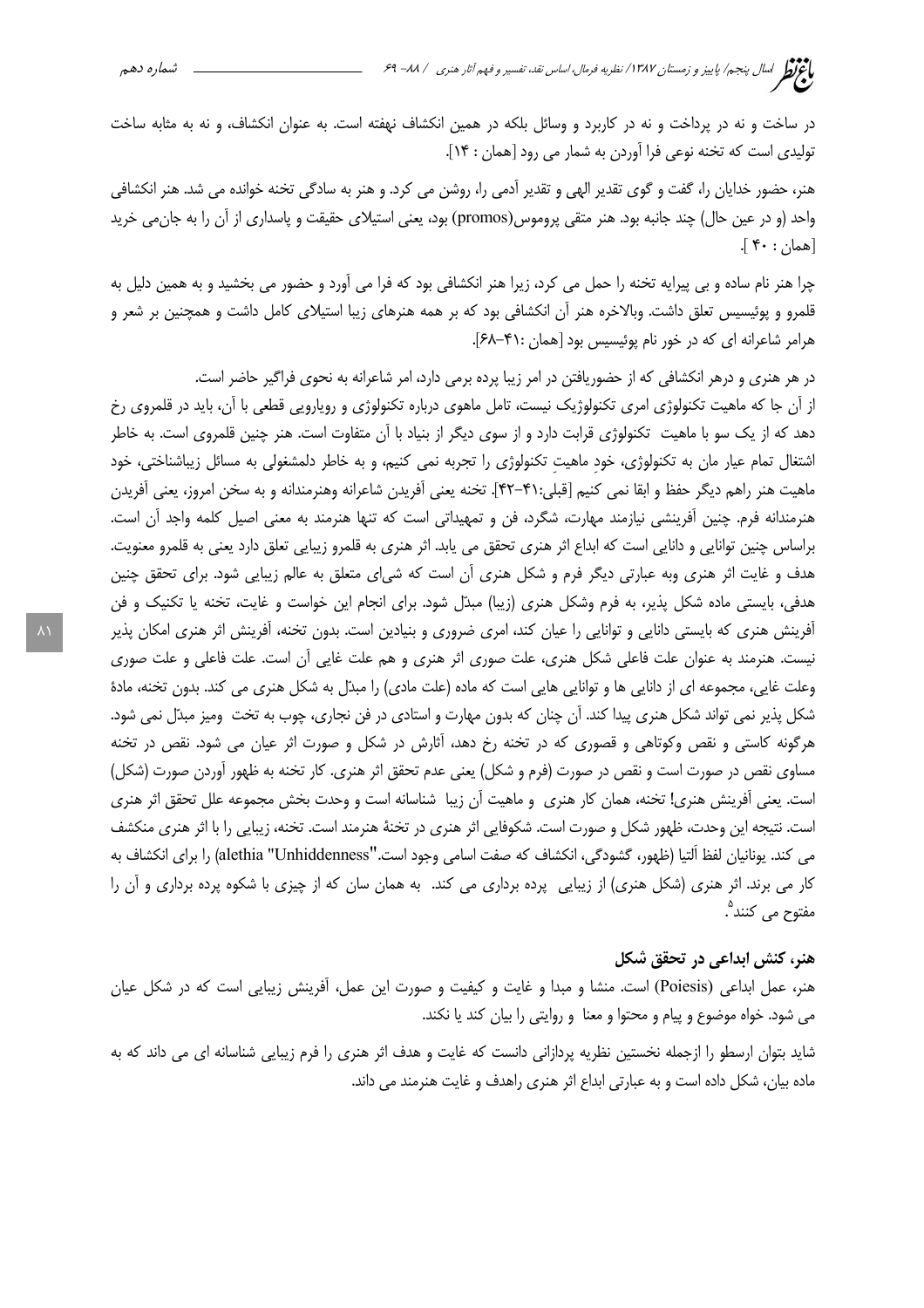در ساخت و نه در پرداخت و نه در کاربرد و وسائل بلکه در همین انکشاف نهفته است. به عنوان انکشاف، و نه به مثابه ساخت تولیدی است که تخنه نوعی فرا آوردن به شمار می رود [همان : ۱۴].

هنر، حضور خدایان را، گفت و گوی تقدیر الهی و تقدیر آدمی را، روشن می کرد. و هنر به سادگی تخنه خوانده می شد. هنر انكشافی واحد (و در عین حال) چند جانبه بود. هنر متقی پروموس(promos) بود، یعنی استیلای حقیقت و پاسداری از آن را به جانءی خرید [همان : ۴۰].

چرا هنر نام ساده و بی پیرایه تخنه را حمل می کرد، زیرا هنر انکشافی بود که فرا می آورد و حضور می بخشید و به همین دلیل به قلمرو و پوئیسیس تعلق داشت. وبالاخره هنر آن انکشافی بود که بر همه هنرهای زیبا استیلای کامل داشت و همچنین بر شعر و هرامر شاعرانه ای که در خور نام پوئیسیس بود [همان :۴۱-۶۸].

در هر هنری و درهر انکشافی که از حضوریافتن در امر زیبا پرده برمی دارد، امر شاعرانه به نحوی فراگیر حاضر است. از آن جا که ماهیت تکنولوژی امری تکنولوژیک نیست، تامل ماهوی درباره تکنولوژی و روپارویی قطعی با آن، باید در قلمروی رخ دهد که از یک سو با ماهیت تکنولوژی قرابت دارد و از سوی دیگر از بنیاد با آن متفاوت است. هنر چنین قلمروی است. به خاطر اشتغال تمام عیار مان به تکنولوژی، خود ماهیت تکنولوژی را تجربه نمی کنیم، و به خاطر دلمشغولی به مسائل زیباشناختی، خود ماهيت هنر راهم ديگر حفظ و ابقا نمي كنيم [قبلي:۴۱-۴۲]. تخنه يعني أفريدن شاعرانه وهنرمندانه و به سخن امروز، يعني أفريدن هنرمندانه فرم. چنین آفرینشی نیازمند مهارت، شگرد، فن و تمهیداتی است که تنها هنرمند به معنی اصیل کلمه واجد آن است. براساس چنین توانایی و دانایی است که ابداع اثر هنری تحقق می یابد. اثر هنری به قلمرو زیبایی تعلق دارد یعنی به قلمرو معنویت. هدف و غایت اثر هنری وبه عبارتی دیگر فرم و شکل هنری آن است که شی|ی متعلق به عالم زیبایی شود. برای تحقق چنین هدفی، بایستی ماده شکل پذیر، به فرم وشکل هنری (زیبا) مبدّل شود. برای انجام این خواست و غایت، تخنه یا تکنیک و فن آفرینش هنری که بایستی دانایی و توانایی را عیان کند، امری ضروری و بنیادین است. بدون تخنه، آفرینش اثر هنری امکان پذیر نیست. هنرمند به عنوان علت فاعلی شکل هنری، علت صوری اثر هنری و هم علت غایی اُن است. علت فاعلی و علت صوری وعلت غایی، مجموعه ای از دانایی ها و توانایی هایی است که ماده (علت مادی) را مبدّل به شکل هنری می کند. بدون تخنه، مادهٔ شکل پذیر نمی تواند شکل هنری پیدا کند. آن چنان که بدون مهارت و استادی در فن نجاری، چوب به تخت ومیز مبدّل نمی شود. هرگونه کاستی و نقص وکوتاهی و قصوری که در تخنه رخ دهد، آثارش در شکل و صورت اثر عیان می شود. نقص در تخنه مساوی نقص در صورت است و نقص در صورت (فرم و شکل) یعنی عدم تحقق اثر هنری. کار تخنه به ظهور آوردن صورت (شکل) است. یعنی آفرینش هنری! تخنه، همان کار هنری و ماهیت آن زیبا شناسانه است و وحدت بخش مجموعه علل تحقق اثر هنری است. نتیجه این وحدت، ظهور شکل و صورت است. شکوفایی اثر هنری در تخنهٔ هنرمند است. تخنه، زیبایی را با اثر هنری منکشف می کند. یونانیان لفظ ألتیا (ظهور، گشودگی، انکشاف که صفت اسامی وجود است.''alethia "Unhiddenness) را برای انکشاف به کار می برند. اثر هنری (شکل هنری) از زیبایی پرده برداری می کند. به همان سان که از چیزی با شکوه پرده برداری و آن را مفتوح مي كنند<sup>°</sup>.

## هنر، کنش ابداعی در تحقق شکل

هنر، عمل ابداعي (Poiesis) است. منشا و مبدا و غايت و كيفيت و صورت اين عمل، أفرينش زيبايي است كه در شكل عيان می شود. خواه موضوع و پیام و محتوا و معنا و روایتی را بیان کند یا نکند.

شاید بتوان ارسطو را ازجمله نخستین نظریه پردازانی دانست که غایت و هدف اثر هنری را فرم زیبایی شناسانه ای می داند که به ماده بیان، شکل داده است و به عبارتی ابداع اثر هنری راهدف و غایت هنرمند می داند.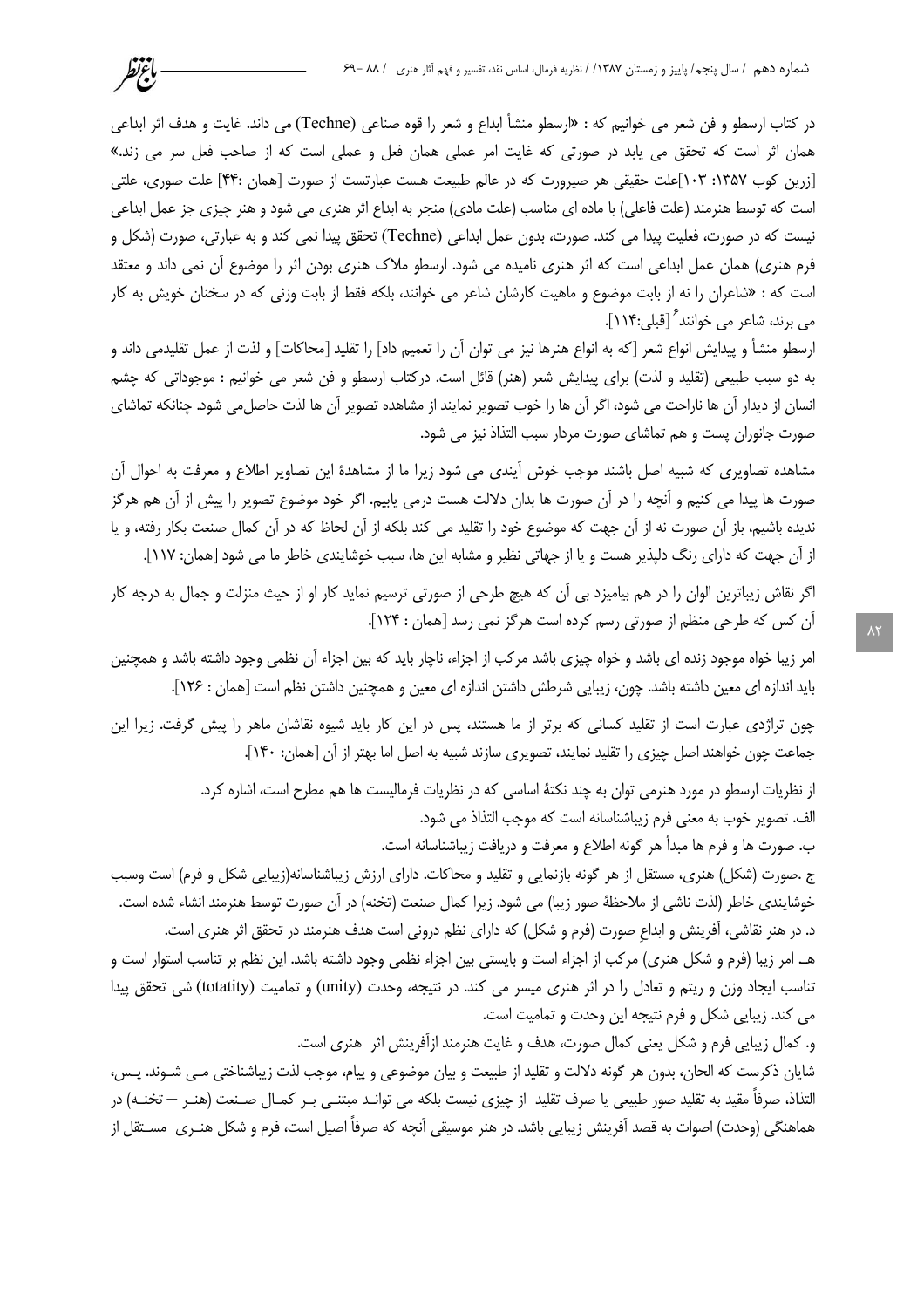در كتاب ارسطو و فن شعر مي خوانيم كه : «ارسطو منشأ ابداع و شعر را قوه صناعي (Techne) مي داند. غايت و هدف اثر ابداعي همان اثر است که تحقق می یابد در صورتی که غایت امر عملی همان فعل و عملی است که از صاحب فعل سر می زند.» [زرین کوب ۱۳۵۷: ۱۰۳]علت حقیقی هر صیرورت که در عالم طبیعت هست عبارتست از صورت [همان :۴۴] علت صوری، علتی است که توسط هنرمند (علت فاعلی) با ماده ای مناسب (علت مادی) منجر به ابداع اثر هنری می شود و هنر چیزی جز عمل ابداعی نيست كه در صورت، فعليت پيدا مي كند. صورت، بدون عمل ابداعي (Techne) تحقق پيدا نمي كند و به عبارتي، صورت (شكل و فرم هنري) همان عمل ابداعي است كه اثر هنري ناميده مي شود. ارسطو ملاك هنري بودن اثر را موضوع آن نمي داند و معتقد است که : «شاعران را نه از بابت موضوع و ماهیت کارشان شاعر می خوانند، بلکه فقط از بابت وزنی که در سخنان خویش به کار می برند، شاعر می خوانند [قبلی:۱۱۴].

باغتظر

ارسطو منشأ و پيدايش انواع شعر [كه به انواع هنرها نيز مي توان آن را تعميم داد] را تقليد [محاكات] و لذت از عمل تقليدمي داند و به دو سبب طبیعی (تقلید و لذت) برای پیدایش شعر (هنر) قائل است. درکتاب ارسطو و فن شعر می خوانیم : موجوداتی که چشم انسان از دیدار آن ها ناراحت می شود، اگر آن ها را خوب تصویر نمایند از مشاهده تصویر آن ها لذت حاصل می شود. چنانکه تماشای صورت جانوران پست و هم تماشای صورت مردار سبب التذاذ نیز می شود.

مشاهده تصاویری که شبیه اصل باشند موجب خوش آیندی می شود زیرا ما از مشاهدهٔ این تصاویر اطلاع و معرفت به احوال آن صورت ها پیدا می کنیم و آنچه را در آن صورت ها بدان دلالت هست درمی پاییم. اگر خود موضوع تصویر را پیش از آن هم هرگز ندیده باشیم، باز آن صورت نه از آن جهت که موضوع خود را تقلید می کند بلکه از آن لحاظ که در آن کمال صنعت بکار رفته، و یا از آن جهت که دارای رنگ دلیذیر هست و یا از جهاتی نظیر و مشابه این ها، سبب خوشایندی خاطر ما می شود [همان: ۱۱۷].

اگر نقاش زیباترین الوان را در هم بیامیزد بی آن که هیچ طرحی از صورتی ترسیم نماید کار او از حیث منزلت و جمال به درجه کار آن کس که طرحی منظم از صورتی رسم کرده است هرگز نمی رسد [همان : ۱۲۴].

امر زیبا خواه موجود زنده ای باشد و خواه چیزی باشد مرکب از اجزاء، ناچار باید که بین اجزاء آن نظمی وجود داشته باشد و همچنین باید اندازه ای معین داشته باشد. چون، زیبایی شرطش داشتن اندازه ای معین و همچنین داشتن نظم است [همان : ۱۲۶].

چون تراژدی عبارت است از تقلید کسانی که برتر از ما هستند، پس در این کار باید شیوه نقاشان ماهر را پیش گرفت. زیرا این جماعت چون خواهند اصل چیزی را تقلید نمایند، تصویری سازند شبیه به اصل اما بهتر از آن [همان: ۱۴۰].

> از نظریات ارسطو در مورد هنرمی توان به چند نکتهٔ اساسی که در نظریات فرمالیست ها هم مطرح است، اشاره کرد. الف. تصوير خوب به معنى فرم زيباشناسانه است كه موجب التذاذ مي شود.

> > ب. صورت ها و فرم ها مبدأ هر گونه اطلاع و معرفت و دريافت زيباشناسانه است.

ج .صورت (شکل) هنری، مستقل از هر گونه بازنمایی و تقلید و محاکات. دارای ارزش زیباشناسانه(زیبایی شکل و فرم) است وسبب خوشایندی خاطر (لذت ناشی از ملاحظهٔ صور زیبا) می شود. زیرا کمال صنعت (تخنه) در آن صورت توسط هنرمند انشاء شده است. د. در هنر نقاشی، آفرینش و ابداع صورت (فرم و شکل) که دارای نظم درونی است هدف هنرمند در تحقق اثر هنری است. هـ. امر زيبا (فرم و شكل هنري) مركب از اجزاء است و بايستي بين اجزاء نظمي وجود داشته باشد. اين نظم بر تناسب استوار است و

تناسب ایجاد وزن و ریتم و تعادل را در اثر هنری میسر می کند. در نتیجه، وحدت (unity) و تمامیت (totatity) شی تحقق پیدا می کند. زیبایی شکل و فرم نتیجه این وحدت و تمامیت است.

و. كمال زيبايي فرم و شكل يعني كمال صورت، هدف و غايت هنرمند ازآفرينش اثر هنري است. شایان ذکرست که الحان، بدون هر گونه دلالت و تقلید از طبیعت و بیان موضوعی و پیام، موجب لذت زیباشناختی مـی شـوند. پـس، التذاذ، صرفاً مقيد به تقليد صور طبيعي يا صرف تقليد از چيزي نيست بلكه مي توانـد مبتنـي بـر كمـال صـنعت (هنـر — تخنـه) در هماهنگی (وحدت) اصوات به قصد آفرینش زیبایی باشد. در هنر موسیقی آنچه که صرفاً اصیل است، فرم و شکل هنـری مســتقل از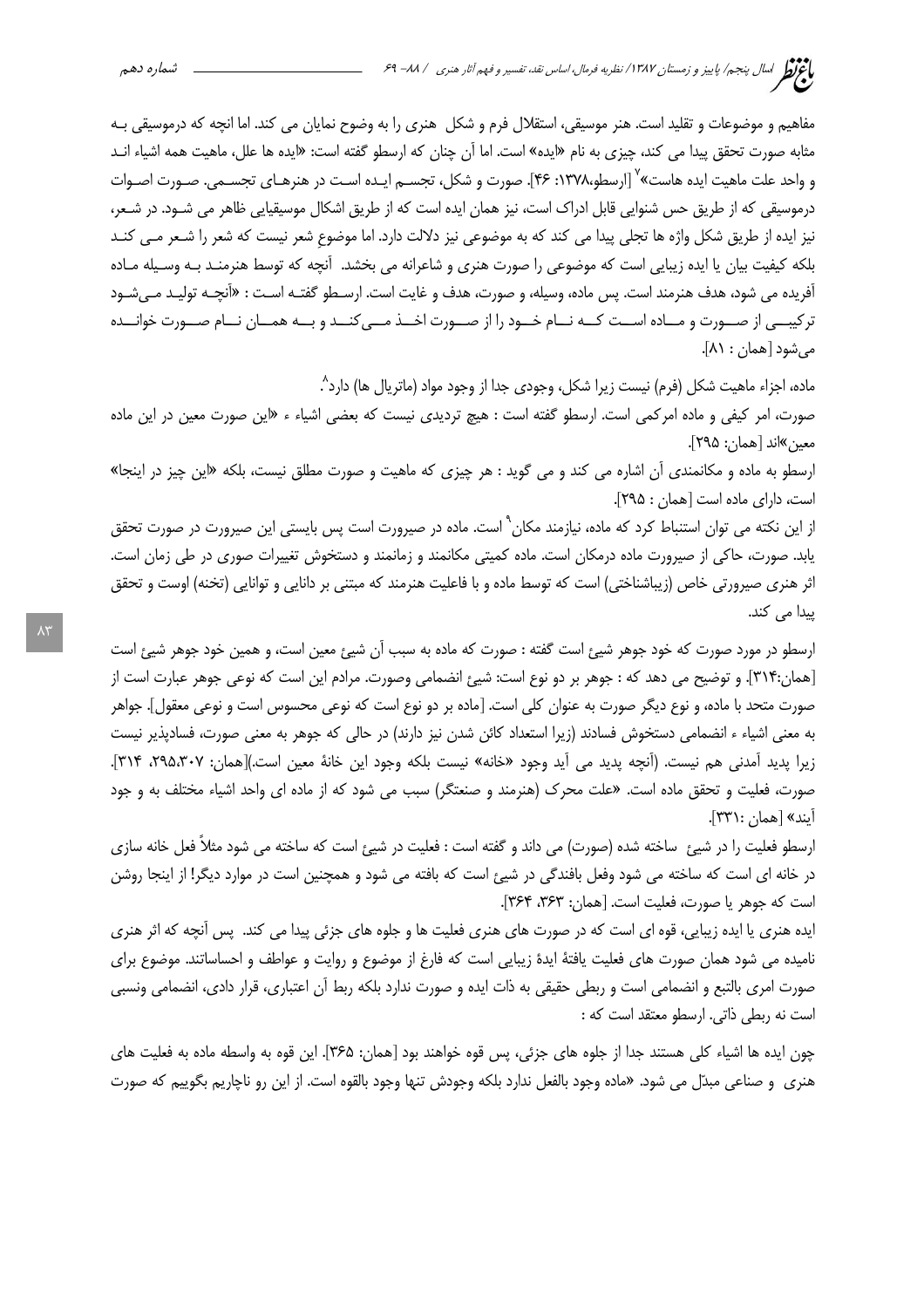مفاهیم و موضوعات و تقلید است. هنر موسیقی، استقلال فرم و شکل ِ هنری را به وضوح نمایان می کند. اما انچه که درموسیقی بـه مثابه صورت تحقق پیدا می کند، چیزی به نام «ایده» است. اما آن چنان که ارسطو گفته است: «ایده ها علل، ماهیت همه اشیاء انـد و واحد علت ماهيت ايده هاست» `` [ارسطو،١٣٧٨: ۴۶]. صورت و شكل، تجســم ايــده اسـت در هنرهــاي تجســمي. صــورت اصــوات درموسیقی که از طریق حس شنوایی قابل ادراک است، نیز همان ایده است که از طریق اشکال موسیقیایی ظاهر می شـود. در شـعر، نیز ایده از طریق شکل واژه ها تجلی پیدا می کند که به موضوعی نیز دلالت دارد. اما موضوع شعر نیست که شعر را شـعر مـی کنـد بلکه کیفیت بیان یا ایده زیبایی است که موضوعی را صورت هنری و شاعرانه می بخشد. آنچه که توسط هنرمنـد بـه وسـیله مـاده آفریده می شود، هدف هنرمند است. پس ماده، وسیله، و صورت، هدف و غایت است. ارسـطو گفتـه اسـت : «آنچـه تولیـد مـیشـود ترکیبے از صـورت و مـاده اسـت کـه نــام خــود را از صــورت اخــذ مــی کنــد و بــه همــان نــام صــورت خوانــده مي شود [همان : ٨١].

ماده، اجزاء ماهیت شکل (فرم) نیست زیرا شکل، وجودی جدا از وجود مواد (ماتریال ها) دارد^. صورت، امر کیفی و ماده امرکمی است. ارسطو گفته است : هیچ تردیدی نیست که بعضی اشیاء ء «این صورت معین در این ماده معين»اند [همان: ٢٩۵].

ارسطو به ماده و مکانمندی آن اشاره می کند و می گوید : هر چیزی که ماهیت و صورت مطلق نیست، بلکه «این چیز در اینجا» است، دارای ماده است [همان: ٢٩۵].

از این نکته می توان استنباط کرد که ماده، نیازمند مکان<sup>۹</sup> است. ماده در صیرورت است پس بایستی این صیرورت در صورت تحقق یابد. صورت، حاکی از صیرورت ماده درمکان است. ماده کمیتی مکانمند و زمانمند و دستخوش تغییرات صوری در طی زمان است. اثر هنري صيرورتي خاص (زيباشناختي) است كه توسط ماده و با فاعليت هنرمند كه مبتني بر دانايي و توانايي (تخنه) اوست و تحقق بیدا مے کند.

ارسطو در مورد صورت که خود جوهر شیئ است گفته : صورت که ماده به سبب آن شیئ معین است، و همین خود جوهر شیئ است [همان:٣١۴]. و توضيح مي دهد كه : جوهر بر دو نوع است: شيئ انضمامي وصورت. مرادم اين است كه نوعي جوهر عبارت است از صورت متحد با ماده، و نوع دیگر صورت به عنوان کلی است. [ماده بر دو نوع است که نوعی محسوس است و نوعی معقول]. جواهر به معنی اشیاء ء انضمامی دستخوش فسادند (زیرا استعداد کائن شدن نیز دارند) در حالی که جوهر به معنی صورت، فسادپذیر نیست زيرا يديد آمدني هم نيست. (آنچه يديد مي آيد وجود «خانه» نيست بلكه وجود اين خانهٔ معين است.)[همان: ٢٩۵،٣٠٧، ٣١۴]. صورت، فعلیت و تحقق ماده است. «علت محرک (هنرمند و صنعتگر) سبب می شود که از ماده ای واحد اشیاء مختلف به و جود ايند» [همان :۳۳۱].

ارسطو فعلیت را در شیئ ساخته شده (صورت) می داند و گفته است : فعلیت در شیئ است که ساخته می شود مثلاً فعل خانه سازی در خانه ای است که ساخته می شود وفعل بافندگی در شیئ است که بافته می شود و همچنین است در موارد دیگر! از اینجا روشن است كه جوهر يا صورت، فعليت است. [همان: ٣۶٣، ٣۶٣].

ایده هنری یا ایده زیبایی، قوه ای است که در صورت های هنری فعلیت ها و جلوه های جزئی پیدا می کند. پس آنچه که اثر هنری نامیده می شود همان صورت های فعلیت یافتهٔ ایدهٔ زیبایی است که فارغ از موضوع و روایت و عواطف و احساساتند. موضوع برای صورت امری بالتبع و انضمامی است و ربطی حقیقی به ذات ایده و صورت ندارد بلکه ربط اّن اعتباری، قرار دادی، انضمامی ونسبی است نه ربطی ذاتی. ارسطو معتقد است که :

چون ایده ها اشیاء کلی هستند جدا از جلوه های جزئی، پس قوه خواهند بود [همان: ۳۶۵]. این قوه به واسطه ماده به فعلیت های هنري و صناعي مبدّل مي شود. «ماده وجود بالفعل ندارد بلكه وجودش تنها وجود بالقوه است. از اين رو ناچاريم بگوييم كه صورت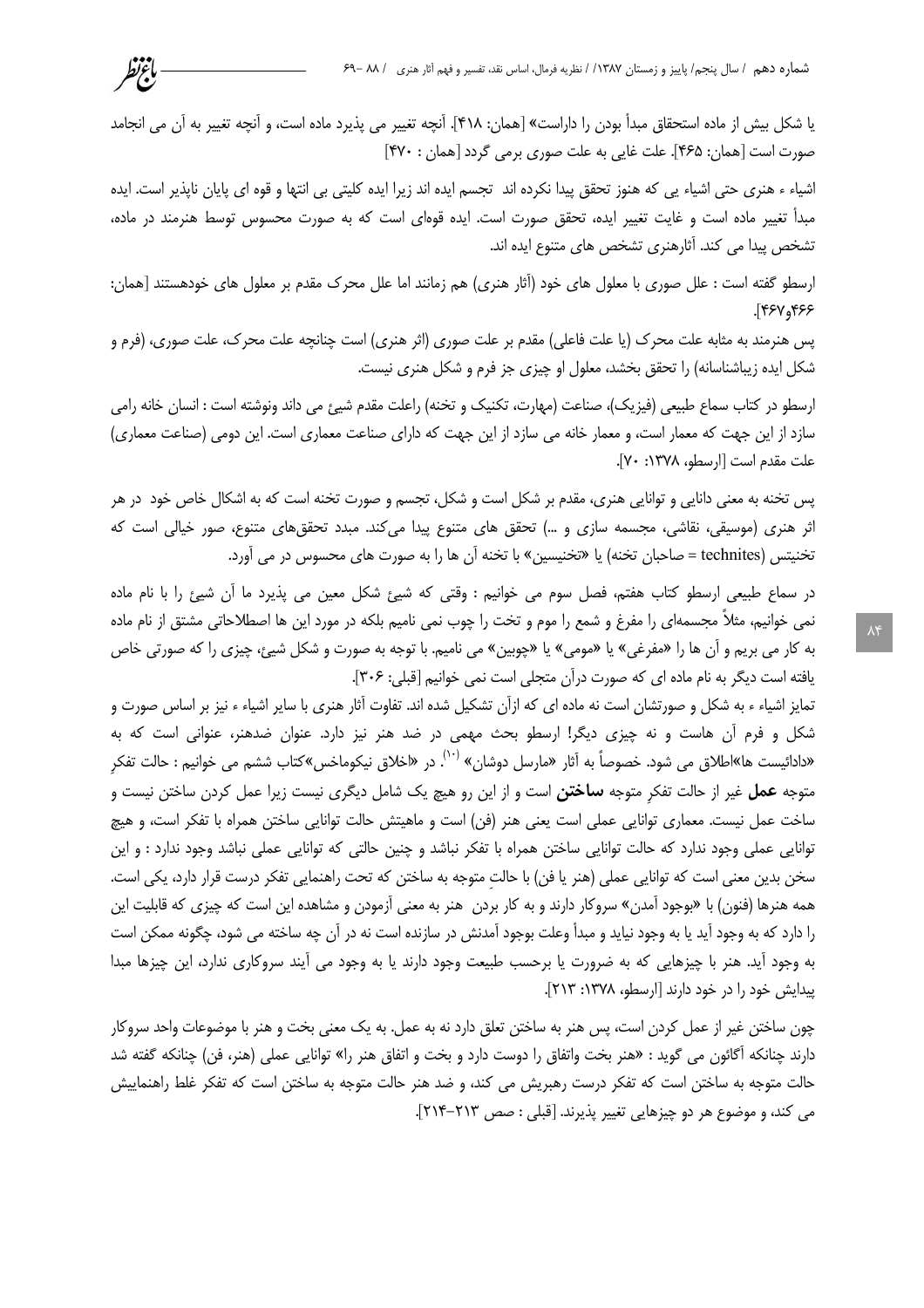یا شکل بیش از ماده استحقاق مبدأ بودن را داراست» [همان: ۴۱۸]. آنچه تغییر می پذیرد ماده است، و آنچه تغییر به آن می انجامد صورت است [همان: ۴۶۵]. علت غایی به علت صوری برمی گردد [همان : ۴۷۰]

باءتظر

اشیاء ء هنری حتی اشیاء یی که هنوز تحقق پیدا نکرده اند تجسم ایده اند زیرا ایده کلیتی بی انتها و قوه ای پایان ناپذیر است. ایده مبدأ تغییر ماده است و غایت تغییر ایده، تحقق صورت است. ایده قوهای است که به صورت محسوس توسط هنرمند در ماده، تشخص پیدا می کند. آثارهنری تشخص های متنوع ایده اند.

ارسطو گفته است : علل صوری با معلول های خود (آثار هنری) هم زمانند اما علل محرک مقدم بر معلول های خودهستند [همان: ۶۶۶ (۴۶۷).

پس هنرمند به مثابه علت محرک (یا علت فاعلی) مقدم بر علت صوری (اثر هنری) است چنانچه علت محرک، علت صوری، (فرم و شکل ایده زیباشناسانه) را تحقق بخشد، معلول او چیزی جز فرم و شکل هنری نیست.

ارسطو در كتاب سماع طبيعي (فيزيک)، صناعت (مهارت، تكنيک و تخنه) راعلت مقدم شيئ مي داند ونوشته است : انسان خانه رامي سازد از این جهت که معمار است، و معمار خانه می سازد از این جهت که دارای صناعت معماری است. این دومی (صناعت معماری) علت مقدم است [ارسطو، ١٣٧٨: ٧٠].

پس تخنه به معنی دانایی و توانایی هنری، مقدم بر شکل است و شکل، تجسم و صورت تخنه است که به اشکال خاص خود در هر اثر هنری (موسیقی، نقاشی، مجسمه سازی و …) تحقق های متنوع پیدا میکند. مبدد تحققهای متنوع، صور خیالی است که تخنيتس (technites = صاحبان تخنه) يا «تخنيسين» با تخنه آن ها را به صورت هاي محسوس در مي آورد.

در سماع طبیعی ارسطو کتاب هفتم، فصل سوم می خوانیم : وقتی که شیئ شکل معین می پذیرد ما آن شیئ را با نام ماده نمی خوانیم، مثلاً مجسمهای را مفرغ و شمع را موم و تخت را چوب نمی نامیم بلکه در مورد این ها اصطلاحاتی مشتق از نام ماده به كار مي بريم و آن ها را «مفرغي» يا «مومي» يا «چوبين» مي ناميم. با توجه به صورت و شكل شيئ، چيزي را كه صورتي خاص يافته است ديگر به نام ماده اي كه صورت درآن متجلي است نمي خوانيم [قبلي: ٣٠۶].

تمایز اشیاء ء به شکل و صورتشان است نه ماده ای که ازآن تشکیل شده اند. تفاوت آثار هنری با سایر اشیاء ء نیز بر اساس صورت و شکل و فرم آن هاست و نه چیزی دیگر! ارسطو بحث مهمی در ضد هنر نیز دارد. عنوان ضدهنر، عنوانی است که به «دادائیست ها»اطلاق می شود. خصوصاً به آثار «مارسل دوشان» <sup>(۱۰)</sup>. در «اخلاق نیکوماخس»کتاب ششم می خوانیم : حالت تفکر متوجه **عمل** غیر از حالت تفکر متوجه **ساختن** است و از این رو هیچ یک شامل دیگری نیست زیرا عمل کردن ساختن نیست و ساخت عمل نیست. معماری توانایی عملی است یعنی هنر (فن) است و ماهیتش حالت توانایی ساختن همراه با تفکر است، و هیچ توانایی عملی وجود ندارد که حالت توانایی ساختن همراه با تفکر نباشد و چنین حالتی که توانایی عملی نباشد وجود ندارد : و این سخن بدین معنی است که توانایی عملی (هنر یا فن) با حالت متوجه به ساختن که تحت راهنمایی تفکر درست قرار دارد، یکی است. همه هنرها (فنون) با «بوجود آمدن» سروكار دارند و به كار بردن هنر به معنى آزمودن و مشاهده اين است كه چيزي كه قابليت اين را دارد که به وجود آید یا به وجود نیاید و مبدأ وعلت بوجود آمدنش در سازنده است نه در آن چه ساخته می شود، چگونه ممکن است به وجود آید. هنر با چیزهایی که به ضرورت یا برحسب طبیعت وجود دارند یا به وجود می آیند سروکاری ندارد، این چیزها مبدا پیدایش خود را در خود دارند [ارسطو، ۱۳۷۸: ۲۱۳].

چون ساختن غیر از عمل کردن است، پس هنر به ساختن تعلق دارد نه به عمل. به یک معنی بخت و هنر با موضوعات واحد سروکار دارند چنانکه آگائون می گوید : «هنر بخت واتفاق را دوست دارد و بخت و اتفاق هنر را» توانایی عملی (هنر، فن) چنانکه گفته شد حالت متوجه به ساختن است که تفکر درست رهبریش می کند، و ضد هنر حالت متوجه به ساختن است که تفکر غلط راهنماییش می کند، و موضوع هر دو چیزهایی تغییر پذیرند. [قبلی : صص ۲۱۳-۲۱۴].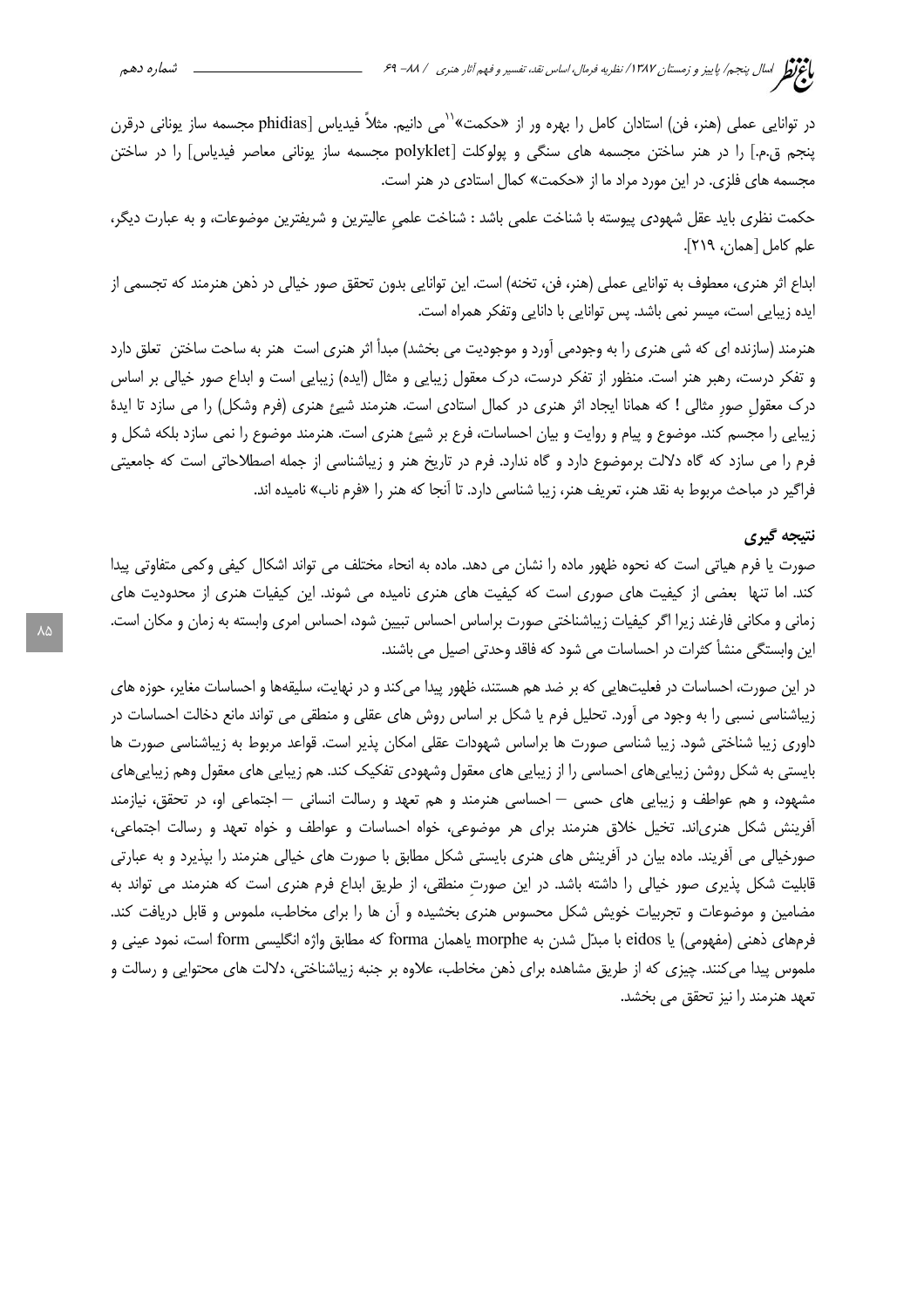در توانایی عملی (هنر، فن) استادان کامل را بهره ور از «حکمت»'<sup>۱</sup>می دانیم. مثلاً فیدیاس [phidias مجسمه ساز یونانی درقرن پنجم ق.م.] را در هنر ساختن مجسمه های سنگی و پولوکلت [polyklet مجسمه ساز یونانی معاصر فیدیاس] را در ساختن مجسمه های فلزی. در این مورد مراد ما از «حکمت» کمال استادی در هنر است.

حکمت نظری باید عقل شهودی پیوسته با شناخت علمی باشد : شناخت علمی عالیترین و شریفترین موضوعات، و به عبارت دیگر، علم كامل [همان، ٢١٩].

ابداع اثر هنري، معطوف به توانايي عملي (هنر، فن، تخنه) است. اين توانايي بدون تحقق صور خيالي در ذهن هنرمند كه تجسمي از ایده زیبایی است، میسر نمی باشد. پس توانایی با دانایی وتفکر همراه است.

هنرمند (سازنده ای که شی هنری را به وجودمی آورد و موجودیت می بخشد) مبدأ اثر هنری است ِ هنر به ساحت ساختن ِ تعلق دارد و تفکر درست، رهبر هنر است. منظور از تفکر درست، درک معقول زیبایی و مثال (ایده) زیبایی است و ابداع صور خیالی بر اساس درک معقول صور مثالی ! که همانا ایجاد اثر هنری در کمال استادی است. هنرمند شیئ هنری (فرم وشکل) را می سازد تا ایدهٔ زیبایی را مجسم کند. موضوع و پیام و روایت و بیان احساسات، فرع بر شیئ هنری است. هنرمند موضوع را نمی سازد بلکه شکل و فرم را می سازد که گاه دلالت برموضوع دارد و گاه ندارد. فرم در تاریخ هنر و زیباشناسی از جمله اصطلاحاتی است که جامعیتی فراگیر در مباحث مربوط به نقد هنر، تعریف هنر، زیبا شناسی دارد. تا آنجا که هنر را «فرم ناب» نامیده اند.

## نتيجه گيري

صورت یا فرم هیاتی است که نحوه ظهور ماده را نشان می دهد. ماده به انحاء مختلف می تواند اشکال کیفی وکمی متفاوتی پیدا کند. اما تنها بعضی از کیفیت های صوری است که کیفیت های هنری نامیده می شوند. این کیفیات هنری از محدودیت های زمانی و مکانی فارغند زیرا اگر کیفیات زیباشناختی صورت براساس احساس تبیین شود، احساس امری وابسته به زمان و مکان است. این وابستگی منشأ کثرات در احساسات می شود که فاقد وحدتی اصیل می باشند.

در این صورت، احساسات در فعلیتهایی که بر ضد هم هستند، ظهور پیدا می کند و در نهایت، سلیقهها و احساسات مغایر، حوزه های زیباشناسی نسبی را به وجود می آورد. تحلیل فرم یا شکل بر اساس روش های عقلی و منطقی می تواند مانع دخالت احساسات در داوری زیبا شناختی شود. زیبا شناسی صورت ها براساس شهودات عقلی امکان پذیر است. قواعد مربوط به زیباشناسی صورت ها بایستی به شکل روشن زیباییهای احساسی را از زیبایی های معقول وشهودی تفکیک کند. هم زیبایی های معقول وهم زیباییهای مشهود، و هم عواطف و زیبایی های حسی — احساسی هنرمند و هم تعهد و رسالت انسانی — اجتماعی او، در تحقق، نیازمند آفرینش شکل هنریاند. تخیل خلاق هنرمند برای هر موضوعی، خواه احساسات و عواطف و خواه تعهد و رسالت اجتماعی، صورخیالی می آفریند. ماده بیان در آفرینش های هنری بایستی شکل مطابق با صورت های خیالی هنرمند را بپذیرد و به عبارتی قابلیت شکل پذیری صور خیالی را داشته باشد. در این صورت منطقی، از طریق ابداع فرم هنری است که هنرمند می تواند به مضامین و موضوعات و تجربیات خویش شکل محسوس هنری بخشیده و آن ها را برای مخاطب، ملموس و قابل دریافت کند. فرمهاي ذهني (مفهومي) يا eidos با مبدّل شدن به morphe ياهمان forma كه مطابق واژه انگليسي form است، نمود عيني و ملموس پیدا می کنند. چیزی که از طریق مشاهده برای ذهن مخاطب، علاوه بر جنبه زیباشناختی، دلالت های محتوایی و رسالت و تعهد هنرمند را نيز تحقق مي بخشد.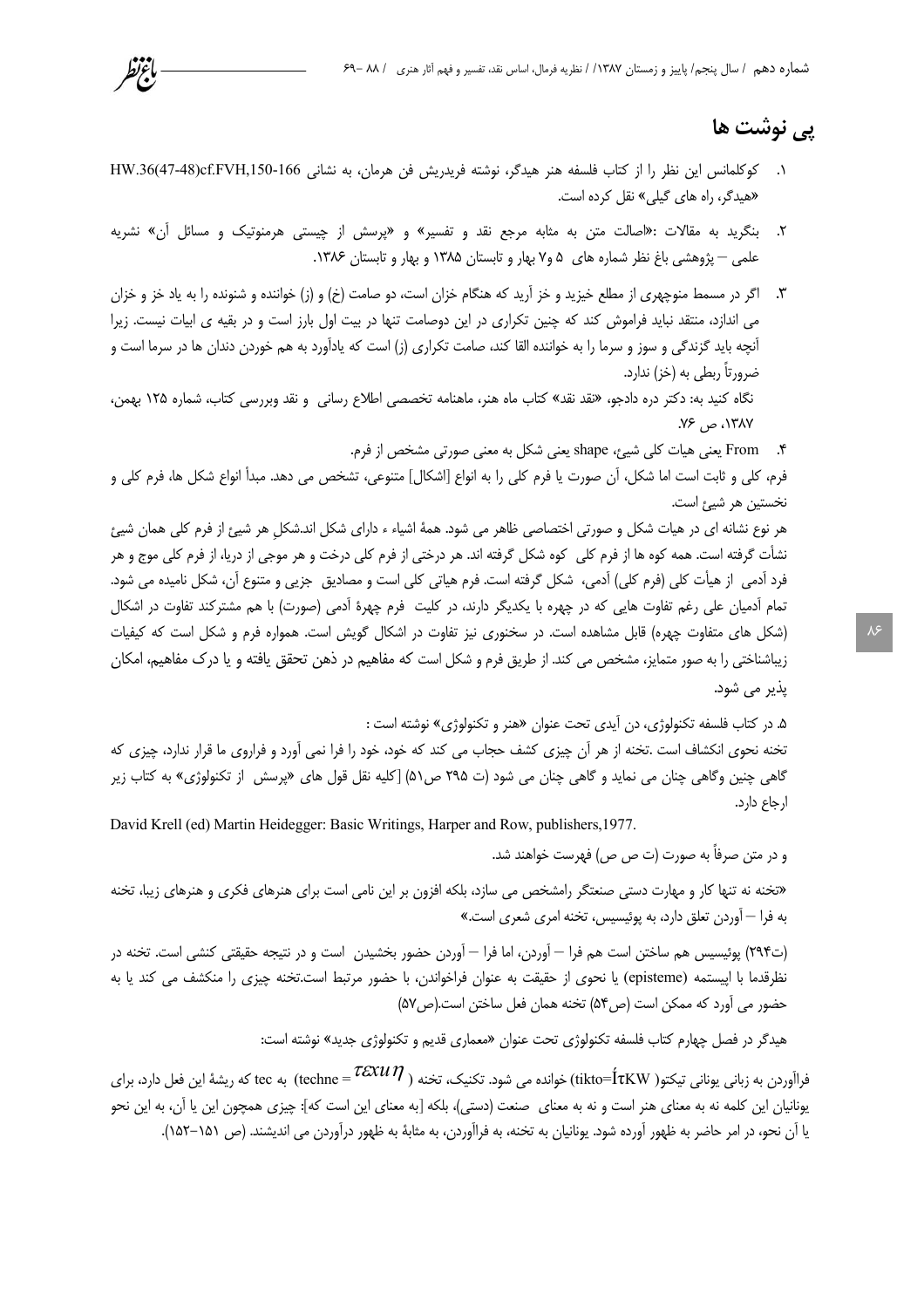# پي نوشت ها

١. كوكلمانس اين نظر را از كتاب فلسفه هنر هيدكر، نوشته فريدريش فن هرمان، به نشاني HW.36(47-48)cf.FVH,150-166 «هیدگر، راه های گیلی» نقل کرده است.

باعرتط

- ۲. بنگرید به مقالات :«اصالت متن به مثابه مرجع نقد و تفسیر» و «پرسش از چیستی هرمنوتیک و مسائل آن» نشریه علمی — پژوهشی باغ نظر شماره های ۵ و۷ بهار و تابستان ۱۳۸۵ و بهار و تابستان ۱۳۸۶.
- ۳. اگر در مسمط منوچهری از مطلع خیزید و خز آرید که هنگام خزان است، دو صامت (خ) و (ز) خواننده و شنونده را به یاد خز و خزان می اندازد، منتقد نباید فراموش کند که چنین تکراری در این دوصامت تنها در بیت اول بارز است و در بقیه ی ابیات نیست. زیرا آنچه باید گزندگی و سوز و سرما را به خواننده القا کند، صامت تکراری (ز) است که یادآورد به هم خوردن دندان ها در سرما است و ضرورتاً ربطي به (خز) ندارد.

نگاه کنید به: دکتر دره دادجو، «نقد نقد» کتاب ماه هنر، ماهنامه تخصصی اطلاع رسانی و نقد وبررسی کتاب، شماره ۱۲۵ بهمن،  $Y^{\varphi}$  ۱۳۸۷، ص $Y$ 

۴. From یعنی هیات کلی شیئ، shape یعنی شکل به معنی صورتی مشخص از فرم.

و در متن صرفاً به صورت (ت ص ص) فهرست خواهند شد.

فرم، كلي و ثابت است اما شكل، أن صورت يا فرم كلي را به انواع [اشكال] متنوعي، تشخص مي دهد. مبدأ انواع شكل ها، فرم كلي و نخستين هر شيء است.

هر نوع نشانه ای در هیات شکل و صورتی اختصاصی ظاهر می شود. همهٔ اشیاء ء دارای شکل اند.شکل هر شیئ از فرم کلی همان شیئ نشأت گرفته است. همه كوه ها از فرم كلي كوه شكل گرفته اند. هر درختي از فرم كلي درخت و هر موجي از دريا، از فرم كلي موج و هر فرد آدمی ًاز هیأت کلی (فرم کلی) آدمی، شکل گرفته است. فرم هیاتی کلی است و مصادیق ِ جزیی و متنوع آن، شکل نامیده می شود. تمام آدمیان علی رغم تفاوت هایی که در چهره با یکدیگر دارند، در کلیت فرم چهرهٔ آدمی (صورت) با هم مشترکند تفاوت در اشکال (شکل های متفاوت چهره) قابل مشاهده است. در سخنوری نیز تفاوت در اشکال گویش است. همواره فرم و شکل است که کیفیات زیباشناختی را به صور متمایز، مشخص می کند. از طریق فرم و شکل است که مفاهیم در ذهن تحقق یافته و یا درک مفاهیم، امکان يڏير مي شود.

۵. در کتاب فلسفه تکنولوژی، دن آیدی تحت عنوان «هنر و تکنولوژی» نوشته است : تخنه نحوی انکشاف است .تخنه از هر آن چیزی کشف حجاب می کند که خود، خود را فرا نمی آورد و فراروی ما قرار ندارد، چیزی که گاهی چنین وگاهی چنان می نماید و گاهی چنان می شود (ت ۲۹۵ ص۵۱) [کلیه نقل قول های «پرسش از تکنولوژی» به کتاب زیر ارجاع دارد.

David Krell (ed) Martin Heidegger: Basic Writings, Harper and Row, publishers, 1977.

«تخنه نه تنها کار و مهارت دستی صنعتگر رامشخص می سازد، بلکه افزون بر این نامی است برای هنرهای فکری و هنرهای زیبا، تخنه به فرا – آوردن تعلق دارد، به پوئیسیس، تخنه امری شعری است.»

(ت٣٩۴) پوئيسيس هم ساختن است هم فرا — آوردن، اما فرا — آوردن حضور بخشيدن است و در نتيجه حقيقتي كنشي است. تخنه در نظرقدما با اپیستمه (episteme) یا نحوی از حقیقت به عنوان فراخواندن، با حضور مرتبط است.تخنه چیزی را منكشف می كند یا به حضور می آورد که ممکن است (ص۵۴) تخنه همان فعل ساختن است.(ص۵۷)

هیدگر در فصل چهارم کتاب فلسفه تکنولوژی تحت عنوان «معماری قدیم و تکنولوژی جدید» نوشته است:

فراآوردن به زبانی یونانی تیکتو( tikto= $f$ tKW) خوانده می شود. تکنیک، تخنه ( $\mathcal{T}\text{ex}\mathcal{U}\,\eta$  ) به tec که ریشهٔ این فعل دارد، برای يونانيان اين كلمه نه به معناي هنر است و نه به معناي حنعت (دستي)، بلكه [به معناي اين است كه]: چيزي همچون اين يا آن، به اين نحو يا آن نحو، در امر حاضر به ظهور آورده شود. يونانيان به تخنه، به فراآوردن، به مثابهٔ به ظهور درآوردن می انديشند. (ص ١۵١–١۵٢).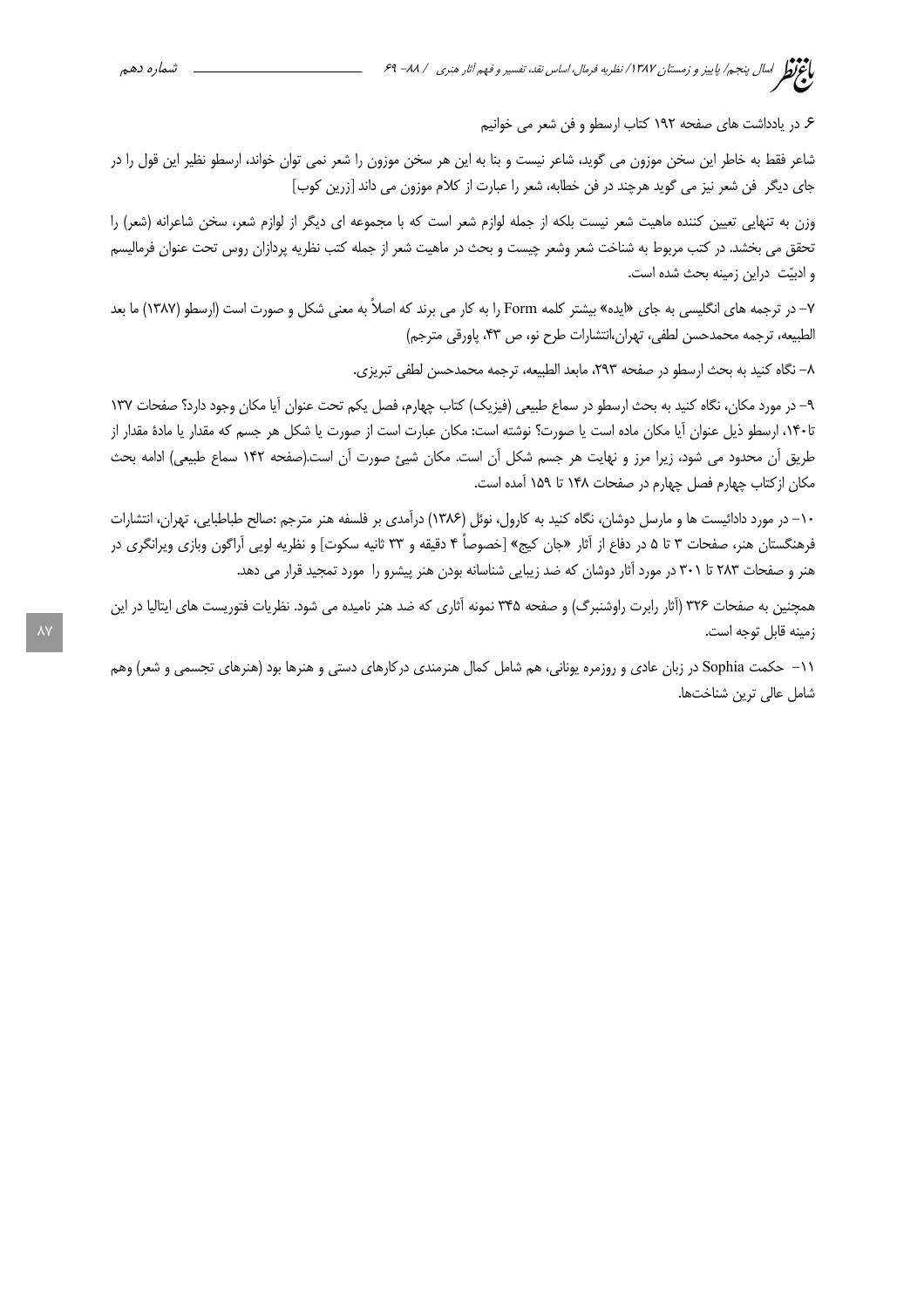۶. در یادداشت های صفحه ۱۹۲ کتاب ارسطو و فن شعر می خوانیم

شاعر فقط به خاطر این سخن موزون می گوید، شاعر نیست و بنا به این هر سخن موزون را شعر نمی توان خواند، ارسطو نظیر این قول را در جای دیگر فن شعر نیز می گوید هرچند در فن خطابه، شعر را عبارت از کلام موزون می داند [زرین کوب]

وزن به تنهایی تعیین کننده ماهیت شعر نیست بلکه از جمله لوازم شعر است که با مجموعه ای دیگر از لوازم شعر، سخن شاعرانه (شعر) را تحقق می بخشد. در کتب مربوط به شناخت شعر وشعر چیست و بحث در ماهیت شعر از جمله کتب نظریه پردازان روس تحت عنوان فرمالیسم و ادبیّت دراین زمینه بحث شده است.

۷– در ترجمه های انگلیسی به جای «ایده» بیشتر کلمه Form را به کار می برند که اصلاً به معنی شکل و صورت است (ارسطو (۱۳۸۷) ما بعد الطبيعه، ترجمه محمدحسن لطفي، تهران،انتشارات طرح نو، ص ۴۳، پاورقي مترجم)

٨– نگاه كنيد به بحث ارسطو در صفحه ٢٩٣، مابعد الطبيعه، ترجمه محمدحسن لطفي تبريزي.

۹– در مورد مکان، نگاه کنید به بحث ارسطو در سماع طبیعی (فیزیک) کتاب چهارم، فصل یکم تحت عنوان آیا مکان وجود دارد؟ صفحات ۱۳۷ تا۱۴۰، ارسطو ذيل عنوان آيا مكان ماده است يا صورت؟ نوشته است: مكان عبارت است از صورت يا شكل هر جسم كه مقدار يا مادة مقدار از طریق أن محدود می شود، زیرا مرز و نهایت هر جسم شکل أن است. مکان شیئ صورت أن است.(صفحه ۱۴۲ سماع طبیعی) ادامه بحث مكان ازكتاب چهارم فصل چهارم در صفحات ١۴٨ تا ١۵٩ آمده است.

۱۰– در مورد دادائیست ها و مارسل دوشان، نگاه کنید به کارول، نوئل (۱۳۸۶) درآمدی بر فلسفه هنر مترجم :صالح طباطبایی، تهران، انتشارات فرهنگستان هنر، صفحات ۳ تا ۵ در دفاع از آثار «جان کیج» [خصوصاً ۴ دقیقه و ۳۳ ثانیه سکوت] و نظریه لویی آراگون وبازی ویرانگری در هنر و صفحات ۲۸۳ تا ۳۰۱ در مورد آثار دوشان که ضد زیبایی شناسانه بودن هنر پیشرو را مورد تمجید قرار می دهد.

همچنین به صفحات ۳۲۶ (آثار رابرت راوشنبرگ) و صفحه ۳۴۵ نمونه آثاری که ضد هنر نامیده می شود. نظریات فتوریست های ایتالیا در این زمينه قابل توجه است.

۱۱– حکمت Sophia در زبان عادی و روزمره یونانی، هم شامل کمال هنرمندی درکارهای دستی و هنرها بود (هنرهای تجسمی و شعر) وهم شامل عالى ترين شناختها.